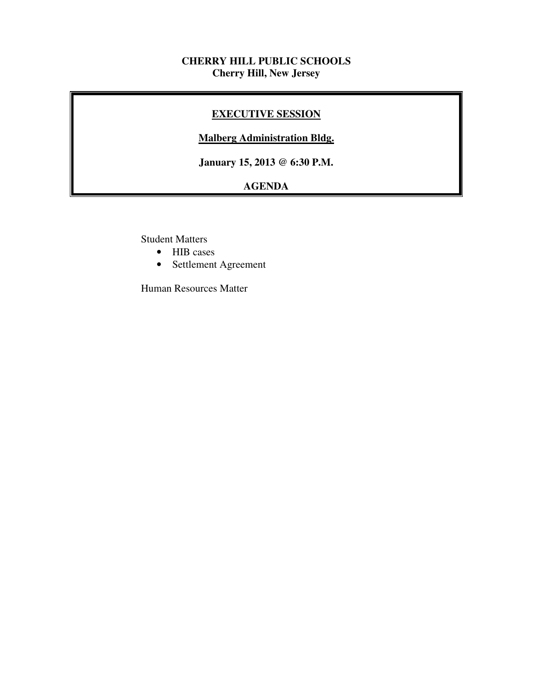#### **CHERRY HILL PUBLIC SCHOOLS Cherry Hill, New Jersey**

### **EXECUTIVE SESSION**

#### **Malberg Administration Bldg.**

 **January 15, 2013 @ 6:30 P.M.** 

# **AGENDA**

Student Matters

- HIB cases
- Settlement Agreement

Human Resources Matter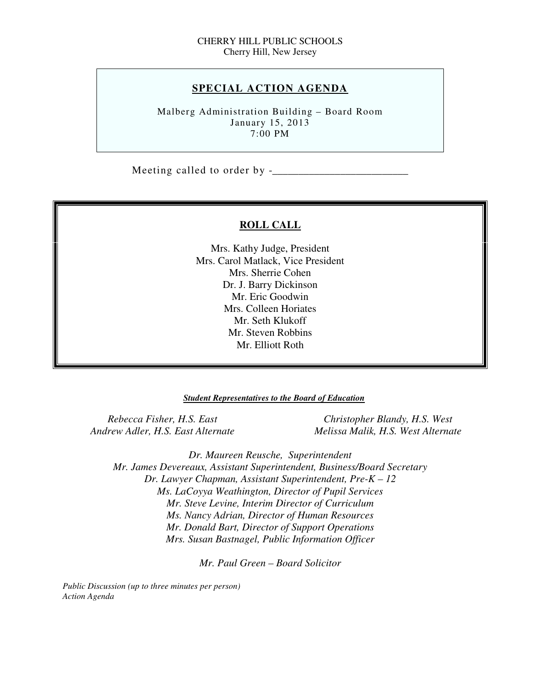#### **SPECIAL ACTION AGENDA**

 Malberg Administration Building – Board Room January 15, 2013 7:00 PM

Meeting called to order by -\_\_\_\_\_\_\_\_\_\_\_\_\_\_\_\_\_\_\_\_\_\_\_\_\_\_

#### **ROLL CALL**

 Mrs. Kathy Judge, President Mrs. Carol Matlack, Vice President Mrs. Sherrie Cohen Dr. J. Barry Dickinson Mr. Eric Goodwin Mrs. Colleen Horiates Mr. Seth Klukoff Mr. Steven Robbins Mr. Elliott Roth

#### *Student Representatives to the Board of Education*

**Rebecca Fisher, H.S. East Andrew Adler, H.S. East Alternate** 

*Christopher Blandy, H.S. West Andrew Adler, H.S. East Alternate Melissa Malik, H.S. West Alternate* 

 *Dr. Maureen Reusche, Superintendent Mr. James Devereaux, Assistant Superintendent, Business/Board Secretary Dr. Lawyer Chapman, Assistant Superintendent, Pre-K – 12 Ms. LaCoyya Weathington, Director of Pupil Services Mr. Steve Levine, Interim Director of Curriculum Mr. Donald Bart, Director of Support Operations Mrs. Susan Bastnagel, Public Information Officer Ms. Nancy Adrian, Director of Human Resources* 

 *Mr. Paul Green – Board Solicitor* 

 *Public Discussion (up to three minutes per person) Action Agenda*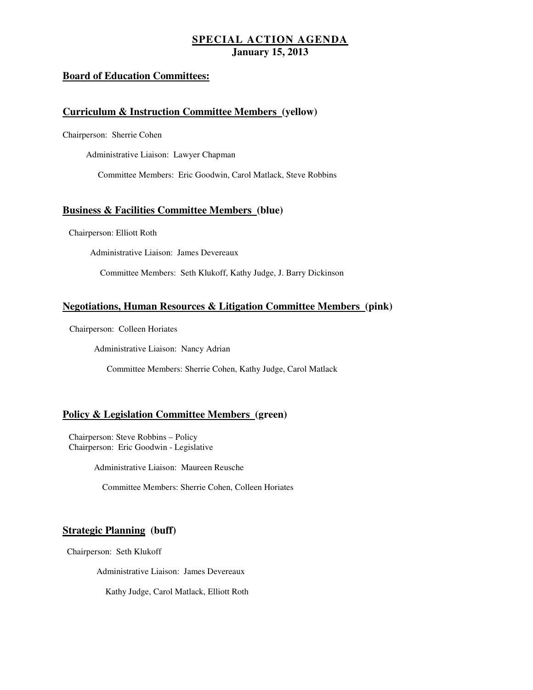#### **Board of Education Committees:**

#### **Curriculum & Instruction Committee Members (yellow)**

Chairperson: Sherrie Cohen

Administrative Liaison: Lawyer Chapman

Committee Members: Eric Goodwin, Carol Matlack, Steve Robbins

#### **Business & Facilities Committee Members (blue)**

Chairperson: Elliott Roth

Administrative Liaison: James Devereaux

Committee Members: Seth Klukoff, Kathy Judge, J. Barry Dickinson

#### **Negotiations, Human Resources & Litigation Committee Members (pink)**

Chairperson: Colleen Horiates

Administrative Liaison: Nancy Adrian

Committee Members: Sherrie Cohen, Kathy Judge, Carol Matlack

#### **Policy & Legislation Committee Members (green)**

 Chairperson: Steve Robbins – Policy Chairperson: Eric Goodwin - Legislative

Administrative Liaison: Maureen Reusche

Committee Members: Sherrie Cohen, Colleen Horiates

#### **Strategic Planning (buff)**

Chairperson: Seth Klukoff

Administrative Liaison: James Devereaux

Kathy Judge, Carol Matlack, Elliott Roth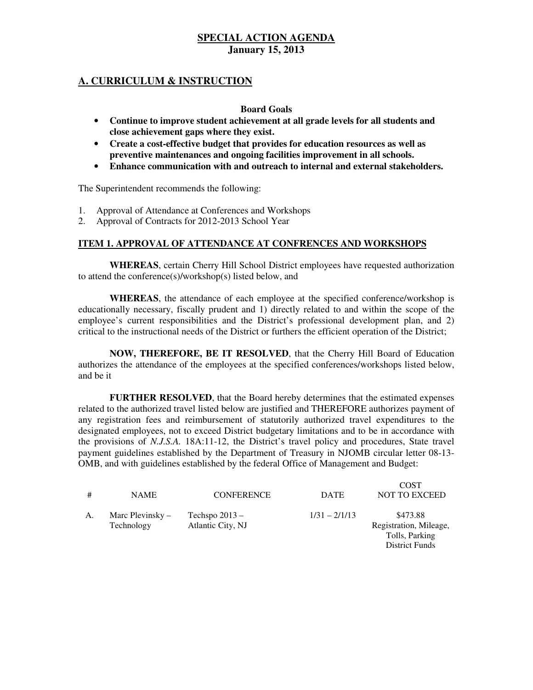### **A. CURRICULUM & INSTRUCTION**

#### **Board Goals**

- • **Continue to improve student achievement at all grade levels for all students and close achievement gaps where they exist.**
- **•** Create a cost-effective budget that provides for education resources as well as  **preventive maintenances and ongoing facilities improvement in all schools.**
- • **Enhance communication with and outreach to internal and external stakeholders.**

The Superintendent recommends the following:

- 1. Approval of Attendance at Conferences and Workshops
- 2. Approval of Contracts for 2012-2013 School Year

#### **ITEM 1. APPROVAL OF ATTENDANCE AT CONFRENCES AND WORKSHOPS**

 **WHEREAS**, certain Cherry Hill School District employees have requested authorization to attend the conference(s)/workshop(s) listed below, and

 **WHEREAS**, the attendance of each employee at the specified conference/workshop is educationally necessary, fiscally prudent and 1) directly related to and within the scope of the employee's current responsibilities and the District's professional development plan, and 2) critical to the instructional needs of the District or furthers the efficient operation of the District;

 **NOW, THEREFORE, BE IT RESOLVED**, that the Cherry Hill Board of Education authorizes the attendance of the employees at the specified conferences/workshops listed below, and be it

 **FURTHER RESOLVED**, that the Board hereby determines that the estimated expenses related to the authorized travel listed below are justified and THEREFORE authorizes payment of any registration fees and reimbursement of statutorily authorized travel expenditures to the designated employees, not to exceed District budgetary limitations and to be in accordance with the provisions of *N.J.S.A.* 18A:11-12, the District's travel policy and procedures, State travel payment guidelines established by the Department of Treasury in NJOMB circular letter 08-13 OMB, and with guidelines established by the federal Office of Management and Budget:

| #  | <b>NAME</b>                      | <b>CONFERENCE</b>                     | <b>DATE</b>     | <b>COST</b><br><b>NOT TO EXCEED</b>                                           |
|----|----------------------------------|---------------------------------------|-----------------|-------------------------------------------------------------------------------|
| Α. | Marc Plevinsky $-$<br>Technology | Techspo $2013 -$<br>Atlantic City, NJ | $1/31 - 2/1/13$ | \$473.88<br>Registration, Mileage,<br>Tolls, Parking<br><b>District Funds</b> |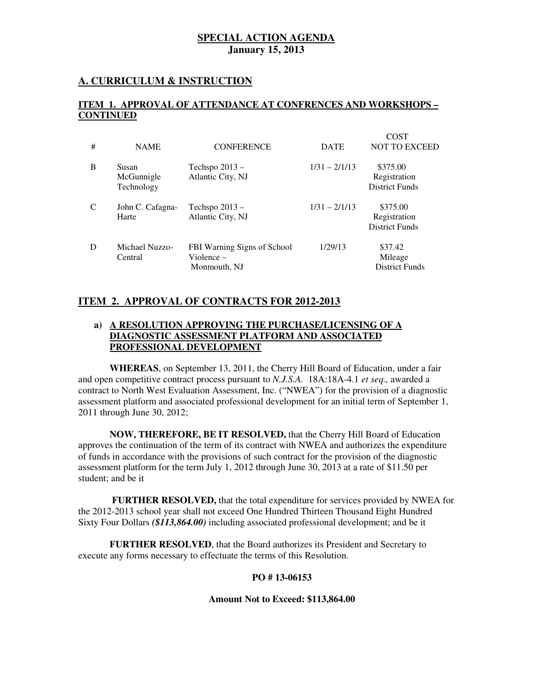### **A. CURRICULUM & INSTRUCTION**

#### **ITEM 1. APPROVAL OF ATTENDANCE AT CONFRENCES AND WORKSHOPS – CONTINUED**

| # | <b>NAME</b>                       | <b>CONFERENCE</b>                                            | <b>DATE</b>     | <b>COST</b><br><b>NOT TO EXCEED</b>               |
|---|-----------------------------------|--------------------------------------------------------------|-----------------|---------------------------------------------------|
| B | Susan<br>McGunnigle<br>Technology | Techspo $2013 -$<br>Atlantic City, NJ                        | $1/31 - 2/1/13$ | \$375.00<br>Registration<br><b>District Funds</b> |
| C | John C. Cafagna-<br>Harte         | Techspo $2013 -$<br>Atlantic City, NJ                        | $1/31 - 2/1/13$ | \$375.00<br>Registration<br><b>District Funds</b> |
| D | Michael Nuzzo-<br>Central         | FBI Warning Signs of School<br>$V$ iolence –<br>Monmouth, NJ | 1/29/13         | \$37.42<br>Mileage<br><b>District Funds</b>       |

#### **ITEM 2. APPROVAL OF CONTRACTS FOR 2012-2013**

#### **a) A RESOLUTION APPROVING THE PURCHASE/LICENSING OF A DIAGNOSTIC ASSESSMENT PLATFORM AND ASSOCIATED PROFESSIONAL DEVELOPMENT**

 **WHEREAS**, on September 13, 2011, the Cherry Hill Board of Education, under a fair and open competitive contract process pursuant to *N.J.S.A.* 18A:18A-4.1 *et seq.,* awarded a contract to North West Evaluation Assessment, Inc. ("NWEA") for the provision of a diagnostic assessment platform and associated professional development for an initial term of September 1, 2011 through June 30, 2012;

 **NOW, THEREFORE, BE IT RESOLVED,** that the Cherry Hill Board of Education approves the continuation of the term of its contract with NWEA and authorizes the expenditure of funds in accordance with the provisions of such contract for the provision of the diagnostic assessment platform for the term July 1, 2012 through June 30, 2013 at a rate of \$11.50 per student; and be it

 **FURTHER RESOLVED,** that the total expenditure for services provided by NWEA for the 2012-2013 school year shall not exceed One Hundred Thirteen Thousand Eight Hundred Sixty Four Dollars *(\$113,864.00)* including associated professional development; and be it

 **FURTHER RESOLVED**, that the Board authorizes its President and Secretary to execute any forms necessary to effectuate the terms of this Resolution.

#### **PO # 13-06153**

#### **Amount Not to Exceed: \$113,864.00**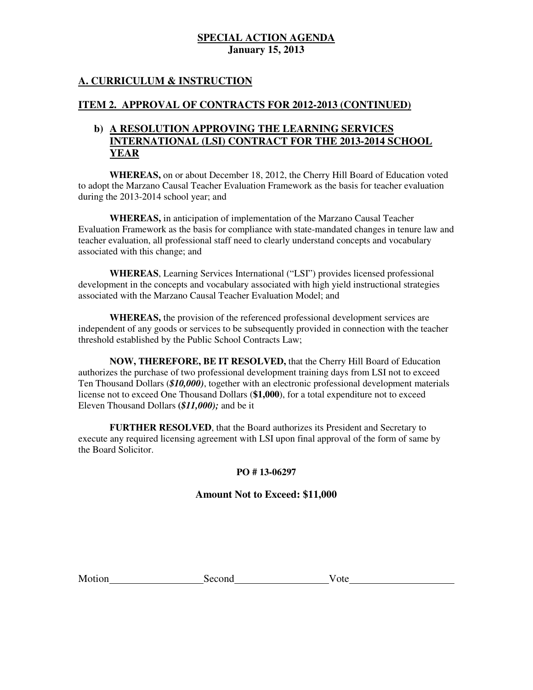### **A. CURRICULUM & INSTRUCTION**

#### **ITEM 2. APPROVAL OF CONTRACTS FOR 2012-2013 (CONTINUED)**

### **b) A RESOLUTION APPROVING THE LEARNING SERVICES INTERNATIONAL (LSI) CONTRACT FOR THE 2013-2014 SCHOOL YEAR**

 to adopt the Marzano Causal Teacher Evaluation Framework as the basis for teacher evaluation during the 2013-2014 school year; and **WHEREAS,** on or about December 18, 2012, the Cherry Hill Board of Education voted

 **WHEREAS,** in anticipation of implementation of the Marzano Causal Teacher Evaluation Framework as the basis for compliance with state-mandated changes in tenure law and teacher evaluation, all professional staff need to clearly understand concepts and vocabulary associated with this change; and

 **WHEREAS**, Learning Services International ("LSI") provides licensed professional development in the concepts and vocabulary associated with high yield instructional strategies associated with the Marzano Causal Teacher Evaluation Model; and

 **WHEREAS,** the provision of the referenced professional development services are independent of any goods or services to be subsequently provided in connection with the teacher threshold established by the Public School Contracts Law;

 **NOW, THEREFORE, BE IT RESOLVED,** that the Cherry Hill Board of Education authorizes the purchase of two professional development training days from LSI not to exceed Ten Thousand Dollars (*\$10,000)*, together with an electronic professional development materials license not to exceed One Thousand Dollars (**\$1,000**), for a total expenditure not to exceed Eleven Thousand Dollars **(***\$11,000);* and be it

 **FURTHER RESOLVED**, that the Board authorizes its President and Secretary to execute any required licensing agreement with LSI upon final approval of the form of same by the Board Solicitor.

### **PO # 13-06297**

#### **Amount Not to Exceed: \$11,000**

Motion

Second  $\blacksquare$ 

 $Vote$ <sub>\_\_\_\_\_</sub>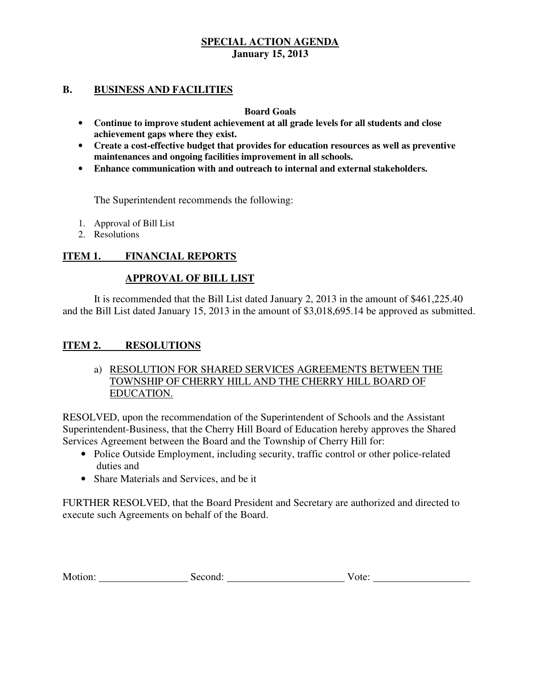#### **B.** BUSINESS AND FACILITIES

#### **Board Goals**

- • **Continue to improve student achievement at all grade levels for all students and close achievement gaps where they exist.**
- • **Create a cost-effective budget that provides for education resources as well as preventive maintenances and ongoing facilities improvement in all schools.**
- • **Enhance communication with and outreach to internal and external stakeholders.**

The Superintendent recommends the following:

- 1. Approval of Bill List
- 2. Resolutions

#### **ITEM 1. FINANCIAL REPORTS**

#### **APPROVAL OF BILL LIST**

 and the Bill List dated January 15, 2013 in the amount of \$3,018,695.14 be approved as submitted. It is recommended that the Bill List dated January 2, 2013 in the amount of \$461,225.40

#### **ITEM 2. RESOLUTIONS**

a) RESOLUTION FOR SHARED SERVICES AGREEMENTS BETWEEN THE TOWNSHIP OF CHERRY HILL AND THE CHERRY HILL BOARD OF EDUCATION.

 RESOLVED, upon the recommendation of the Superintendent of Schools and the Assistant Superintendent-Business, that the Cherry Hill Board of Education hereby approves the Shared Services Agreement between the Board and the Township of Cherry Hill for:

- Police Outside Employment, including security, traffic control or other police-related duties and
- Share Materials and Services, and be it

 FURTHER RESOLVED, that the Board President and Secretary are authorized and directed to execute such Agreements on behalf of the Board.

| M <sub>O</sub><br>.<br>.<br>. | <br>. | ---- |
|-------------------------------|-------|------|
|                               |       |      |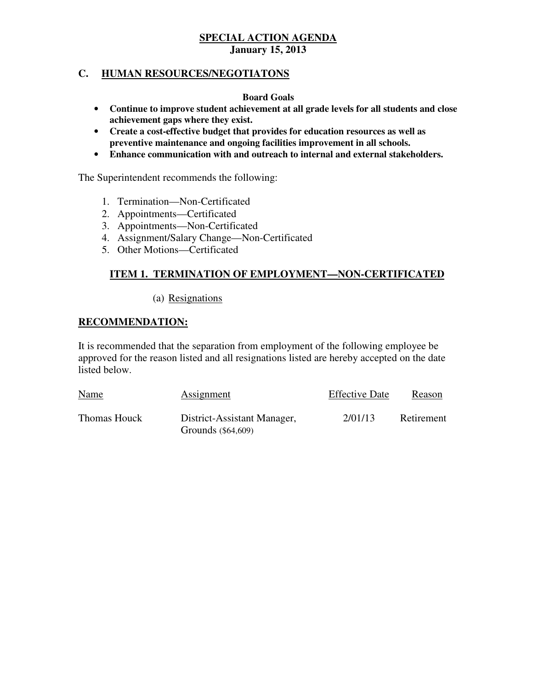#### **C. HUMAN RESOURCES/NEGOTIATONS**

#### **Board Goals**

- • **Continue to improve student achievement at all grade levels for all students and close achievement gaps where they exist.**
- **•** Create a cost-effective budget that provides for education resources as well as  **preventive maintenance and ongoing facilities improvement in all schools.**
- • **Enhance communication with and outreach to internal and external stakeholders.**

The Superintendent recommends the following:

- 1. Termination—Non-Certificated
- 2. Appointments—Certificated
- 3. Appointments—Non-Certificated
- 4. Assignment/Salary Change—Non-Certificated 5. Other Motions—Certificated
- 

#### **ITEM 1. TERMINATION OF EMPLOYMENT—NON-CERTIFICATED**

#### (a) Resignations

#### **RECOMMENDATION:**

 It is recommended that the separation from employment of the following employee be approved for the reason listed and all resignations listed are hereby accepted on the date listed below.

| Name         | Assignment                                        | <b>Effective Date</b> | Reason     |
|--------------|---------------------------------------------------|-----------------------|------------|
| Thomas Houck | District-Assistant Manager,<br>Grounds (\$64,609) | 2/01/13               | Retirement |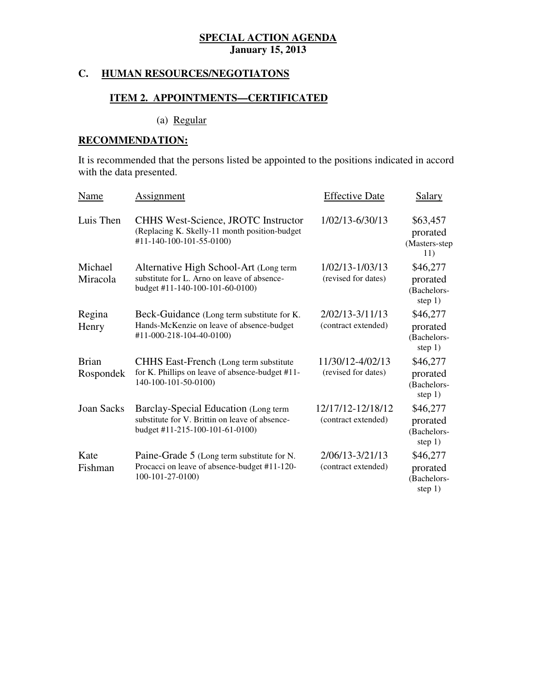#### **C. HUMAN RESOURCES/NEGOTIATONS**

#### **ITEM 2. APPOINTMENTS—CERTIFICATED**

(a) Regular

#### **RECOMMENDATION:**

 It is recommended that the persons listed be appointed to the positions indicated in accord with the data presented.

| <b>Name</b>               | Assignment                                                                                                                | <b>Effective Date</b>                    | <b>Salary</b>                                    |
|---------------------------|---------------------------------------------------------------------------------------------------------------------------|------------------------------------------|--------------------------------------------------|
| Luis Then                 | <b>CHHS West-Science, JROTC Instructor</b><br>(Replacing K. Skelly-11 month position-budget<br>#11-140-100-101-55-0100)   | 1/02/13-6/30/13                          | \$63,457<br>prorated<br>(Masters-step<br>11)     |
| Michael<br>Miracola       | Alternative High School-Art (Long term<br>substitute for L. Arno on leave of absence-<br>budget #11-140-100-101-60-0100)  | 1/02/13-1/03/13<br>(revised for dates)   | \$46,277<br>prorated<br>(Bachelors-<br>step $1)$ |
| Regina<br>Henry           | Beck-Guidance (Long term substitute for K.<br>Hands-McKenzie on leave of absence-budget<br>#11-000-218-104-40-0100)       | 2/02/13-3/11/13<br>(contract extended)   | \$46,277<br>prorated<br>(Bachelors-<br>step $1)$ |
| <b>Brian</b><br>Rospondek | CHHS East-French (Long term substitute)<br>for K. Phillips on leave of absence-budget #11-<br>140-100-101-50-0100)        | 11/30/12-4/02/13<br>(revised for dates)  | \$46,277<br>prorated<br>(Bachelors-<br>step $1)$ |
| <b>Joan Sacks</b>         | Barclay-Special Education (Long term<br>substitute for V. Brittin on leave of absence-<br>budget #11-215-100-101-61-0100) | 12/17/12-12/18/12<br>(contract extended) | \$46,277<br>prorated<br>(Bachelors-<br>step $1)$ |
| Kate<br>Fishman           | Paine-Grade 5 (Long term substitute for N.<br>Procacci on leave of absence-budget #11-120-<br>100-101-27-0100)            | 2/06/13-3/21/13<br>(contract extended)   | \$46,277<br>prorated<br>(Bachelors-<br>step 1)   |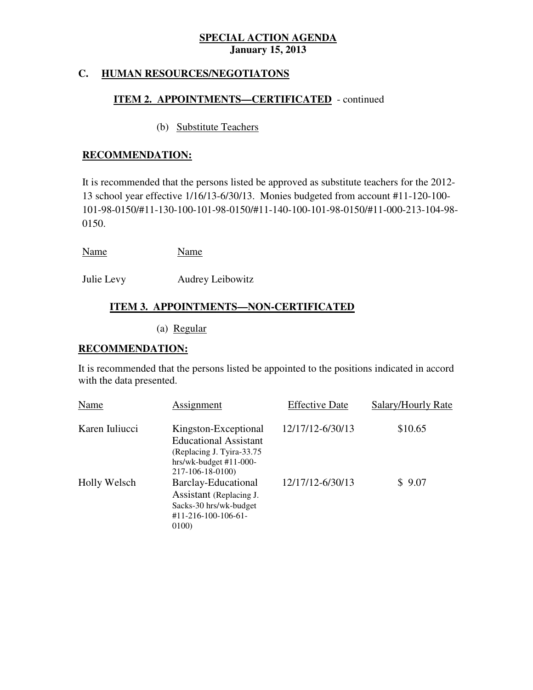#### **C. HUMAN RESOURCES/NEGOTIATONS**

### **ITEM 2. APPOINTMENTS—CERTIFICATED** - continued

(b) Substitute Teachers

#### **RECOMMENDATION:**

 It is recommended that the persons listed be approved as substitute teachers for the 2012 13 school year effective 1/16/13-6/30/13. Monies budgeted from account #11-120-100 101-98-0150/#11-130-100-101-98-0150/#11-140-100-101-98-0150/#11-000-213-104-98 0150.

| Name | Name |
|------|------|
|------|------|

Julie Levy Audrey Leibowitz

# **ITEM 3. APPOINTMENTS—NON-CERTIFICATED**

(a) Regular

#### **RECOMMENDATION:**

 It is recommended that the persons listed be appointed to the positions indicated in accord with the data presented.

| Name           | Assignment                                                                                                                         | <b>Effective Date</b> | Salary/Hourly Rate |
|----------------|------------------------------------------------------------------------------------------------------------------------------------|-----------------------|--------------------|
| Karen Iuliucci | Kingston-Exceptional<br><b>Educational Assistant</b><br>(Replacing J. Tyira-33.75)<br>$hrs/wk-budget #11-000-$<br>217-106-18-0100) | 12/17/12-6/30/13      | \$10.65            |
| Holly Welsch   | Barclay-Educational<br>Assistant (Replacing J.<br>Sacks-30 hrs/wk-budget<br>$#11 - 216 - 100 - 106 - 61$<br>0100)                  | 12/17/12-6/30/13      | \$9.07             |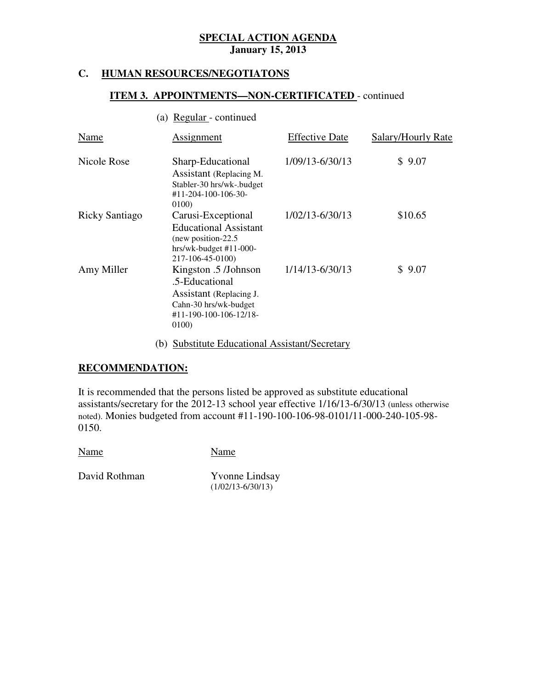#### **HUMAN RESOURCES/NEGOTIATONS**

#### **ITEM 3. APPOINTMENTS—NON-CERTIFICATED** - continued

#### (a) Regular - continued

| Name           | Assignment                                                                                                                    | <b>Effective Date</b> | Salary/Hourly Rate |
|----------------|-------------------------------------------------------------------------------------------------------------------------------|-----------------------|--------------------|
| Nicole Rose    | Sharp-Educational<br>Assistant (Replacing M.<br>Stabler-30 hrs/wk-.budget<br>#11-204-100-106-30-<br>0100)                     | 1/09/13-6/30/13       | \$9.07             |
| Ricky Santiago | Carusi-Exceptional<br><b>Educational Assistant</b><br>(new position-22.5)<br>$hrs/wk-budget #11-000-$<br>217-106-45-0100)     | 1/02/13-6/30/13       | \$10.65            |
| Amy Miller     | Kingston .5 /Johnson<br>.5-Educational<br>Assistant (Replacing J.<br>Cahn-30 hrs/wk-budget<br>#11-190-100-106-12/18-<br>0100) | 1/14/13-6/30/13       | \$9.07             |

#### (b) Substitute Educational Assistant/Secretary

#### **RECOMMENDATION:**

 It is recommended that the persons listed be approved as substitute educational assistants/secretary for the 2012-13 school year effective 1/16/13-6/30/13 (unless otherwise noted). Monies budgeted from account #11-190-100-106-98-0101/11-000-240-105-98 0150.

Name Name

David Rothman

Yvonne Lindsay (1/02/13-6/30/13)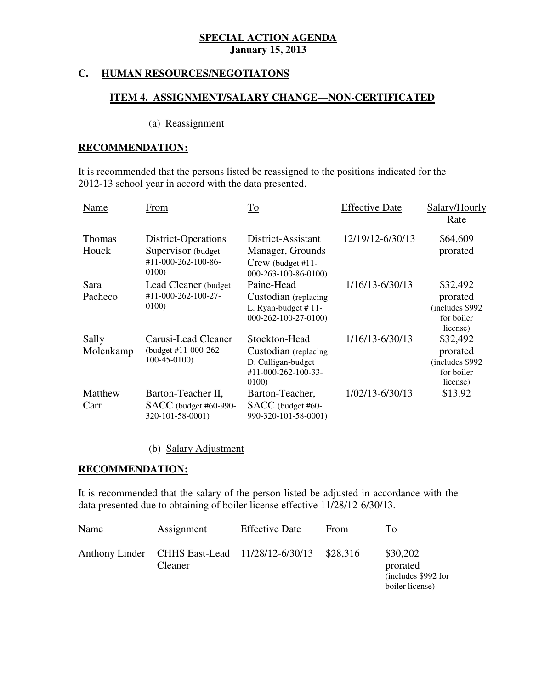#### **HUMAN RESOURCES/NEGOTIATONS**

#### **ITEM 4. ASSIGNMENT/SALARY CHANGE—NON-CERTIFICATED**

#### (a) Reassignment

#### **RECOMMENDATION:**

 It is recommended that the persons listed be reassigned to the positions indicated for the 2012-13 school year in accord with the data presented.

| Name                   | From                                                                      | To                                                                                             | <b>Effective Date</b> | Salary/Hourly<br>Rate                                              |
|------------------------|---------------------------------------------------------------------------|------------------------------------------------------------------------------------------------|-----------------------|--------------------------------------------------------------------|
| <b>Thomas</b><br>Houck | District-Operations<br>Supervisor (budget<br>#11-000-262-100-86-<br>0100) | District-Assistant<br>Manager, Grounds<br>Crew (budget #11-<br>$000 - 263 - 100 - 86 - 0100$   | 12/19/12-6/30/13      | \$64,609<br>prorated                                               |
| Sara<br>Pacheco        | Lead Cleaner (budget)<br>#11-000-262-100-27-<br>0100)                     | Paine-Head<br>Custodian (replacing<br>L. Ryan-budget $# 11$ -<br>$000 - 262 - 100 - 27 - 0100$ | 1/16/13-6/30/13       | \$32,492<br>prorated<br>(includes \$992)<br>for boiler<br>license) |
| Sally<br>Molenkamp     | Carusi-Lead Cleaner<br>(budget $#11-000-262-$<br>$100-45-0100$            | Stockton-Head<br>Custodian (replacing<br>D. Culligan-budget<br>#11-000-262-100-33-<br>0100)    | 1/16/13-6/30/13       | \$32,492<br>prorated<br>(includes \$992)<br>for boiler<br>license) |
| Matthew<br>Carr        | Barton-Teacher II,<br>SACC (budget #60-990-<br>320-101-58-0001)           | Barton-Teacher,<br>SACC (budget #60-<br>990-320-101-58-0001)                                   | 1/02/13-6/30/13       | \$13.92                                                            |

### (b) Salary Adjustment

#### **RECOMMENDATION:**

 It is recommended that the salary of the person listed be adjusted in accordance with the data presented due to obtaining of boiler license effective 11/28/12-6/30/13.

| Name | Assignment                                                       | <b>Effective Date</b> | From     | To                                                             |
|------|------------------------------------------------------------------|-----------------------|----------|----------------------------------------------------------------|
|      | Anthony Linder CHHS East-Lead 11/28/12-6/30/13<br><b>Cleaner</b> |                       | \$28.316 | \$30,202<br>prorated<br>(includes \$992 for<br>boiler license) |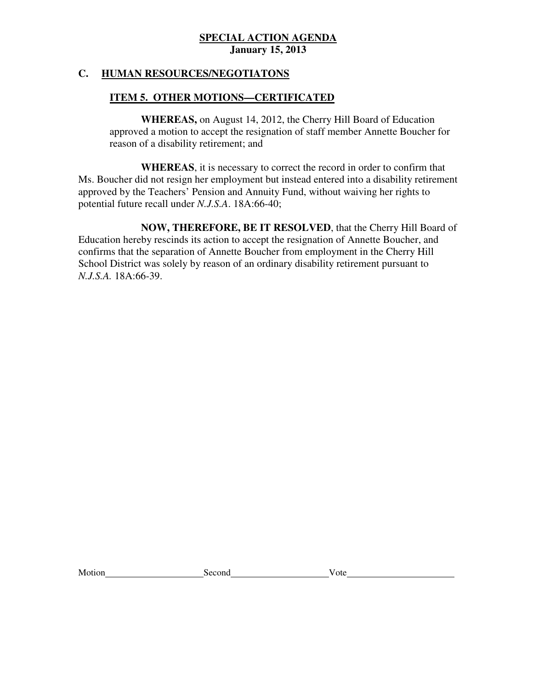### **C. HUMAN RESOURCES/NEGOTIATONS**

### **ITEM 5. OTHER MOTIONS—CERTIFICATED**

 **WHEREAS,** on August 14, 2012, the Cherry Hill Board of Education approved a motion to accept the resignation of staff member Annette Boucher for reason of a disability retirement; and

 Ms. Boucher did not resign her employment but instead entered into a disability retirement approved by the Teachers' Pension and Annuity Fund, without waiving her rights to potential future recall under *N.J.S.A*. 18A:66-40; **WHEREAS**, it is necessary to correct the record in order to confirm that

 Education hereby rescinds its action to accept the resignation of Annette Boucher, and confirms that the separation of Annette Boucher from employment in the Cherry Hill School District was solely by reason of an ordinary disability retirement pursuant to *N.J.S.A.* 18A:66-39. **NOW, THEREFORE, BE IT RESOLVED**, that the Cherry Hill Board of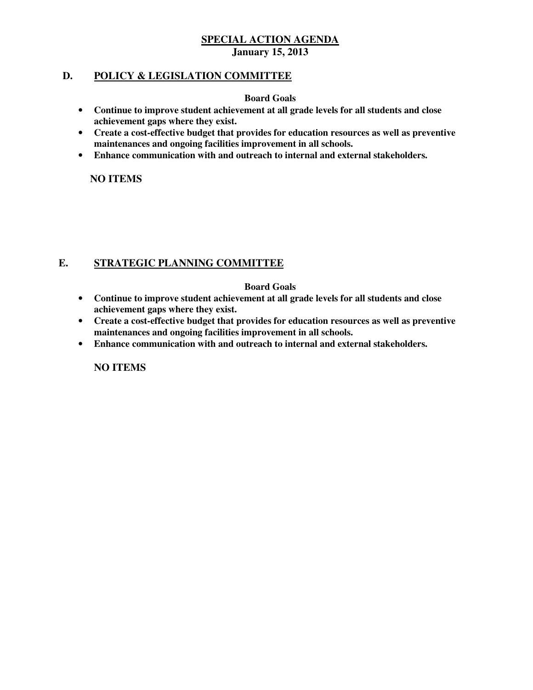#### **D. POLICY & LEGISLATION COMMITTEE**

#### **Board Goals**

- • **Continue to improve student achievement at all grade levels for all students and close achievement gaps where they exist.**
- • **Create a cost-effective budget that provides for education resources as well as preventive maintenances and ongoing facilities improvement in all schools.**
- • **Enhance communication with and outreach to internal and external stakeholders.**

 **NO ITEMS** 

#### **E. STRATEGIC PLANNING COMMITTEE**

#### **Board Goals**

- • **Continue to improve student achievement at all grade levels for all students and close achievement gaps where they exist.**
- • **Create a cost-effective budget that provides for education resources as well as preventive maintenances and ongoing facilities improvement in all schools.**
- Enhance communication with and outreach to internal and external stakeholders.

 **NO ITEMS**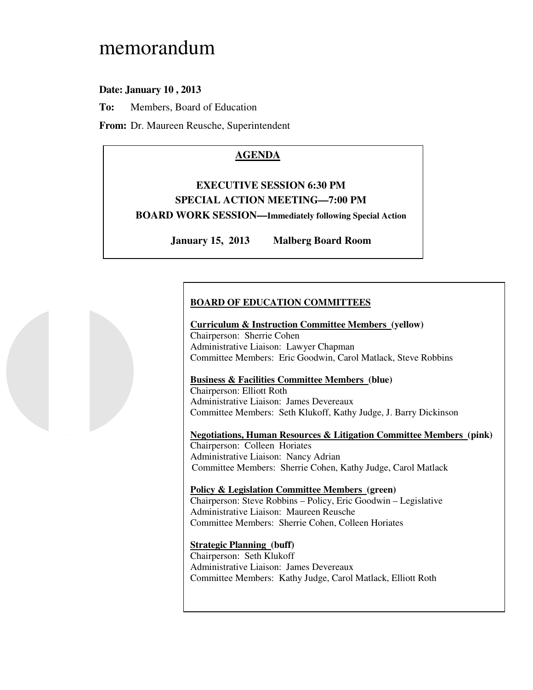# memorandum

# **Date: January 10 , 2013**

**To:** Members, Board of Education

**From:** Dr. Maureen Reusche, Superintendent

# **AGENDA**

# **EXECUTIVE SESSION 6:30 PM SPECIAL ACTION MEETING—7:00 PM**

 **BOARD WORK SESSION—Immediately following Special Action** 

**January 15, 2013 Malberg Board Room** 

# **BOARD OF EDUCATION COMMITTEES**

#### **Curriculum & Instruction Committee Members (yellow)**

 Chairperson: Sherrie Cohen Administrative Liaison: Lawyer Chapman Committee Members: Eric Goodwin, Carol Matlack, Steve Robbins

#### **Business & Facilities Committee Members (blue)**

 Chairperson: Elliott Roth Administrative Liaison: James Devereaux Committee Members: Seth Klukoff, Kathy Judge, J. Barry Dickinson

#### **Negotiations, Human Resources & Litigation Committee Members (pink)**

 Chairperson: Colleen Horiates Administrative Liaison: Nancy Adrian Committee Members: Sherrie Cohen, Kathy Judge, Carol Matlack

 **Policy & Legislation Committee Members (green)**  Chairperson: Steve Robbins – Policy, Eric Goodwin – Legislative Administrative Liaison: Maureen Reusche Committee Members: Sherrie Cohen, Colleen Horiates

 **Strategic Planning (buff)**  Chairperson: Seth Klukoff Administrative Liaison: James Devereaux Committee Members: Kathy Judge, Carol Matlack, Elliott Roth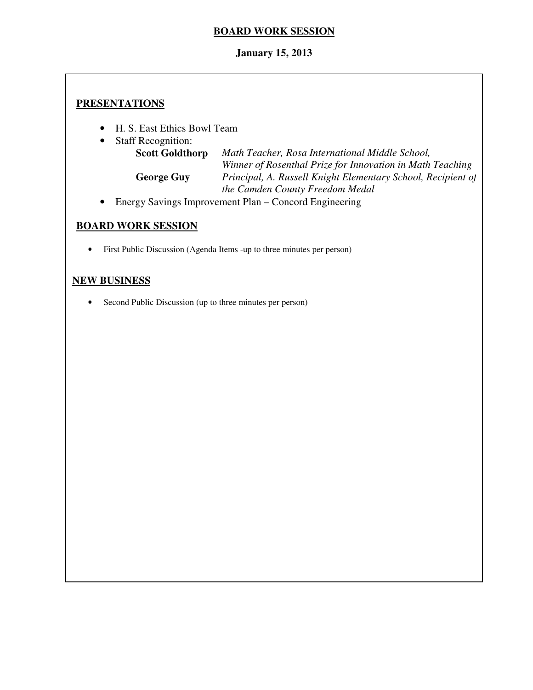### **BOARD WORK SESSION**

### **January 15, 2013**

### **PRESENTATIONS**

- H. S. East Ethics Bowl Team
- **Staff Recognition:**

**Scott Goldthorp**  *Winner of Rosenthal Prize for Innovation in Math Teaching*  **George Guy**  *the Camden County Freedom Medal*  **Scott Goldthorp** *Math Teacher, Rosa International Middle School,*  **George Guy** *Principal, A. Russell Knight Elementary School, Recipient of* 

• Energy Savings Improvement Plan – Concord Engineering

# **BOARD WORK SESSION**

• First Public Discussion (Agenda Items -up to three minutes per person)

### **NEW BUSINESS**

• Second Public Discussion (up to three minutes per person)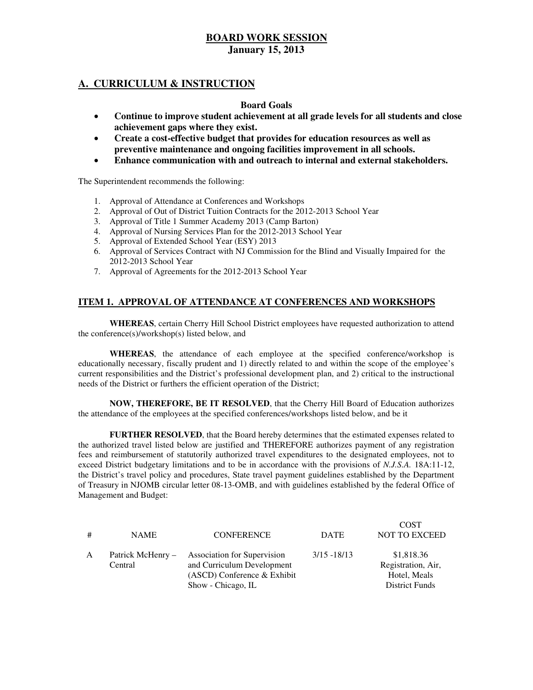### **A. CURRICULUM & INSTRUCTION**

#### **Board Goals**

- • **Continue to improve student achievement at all grade levels for all students and close achievement gaps where they exist.**
- **•** Create a cost-effective budget that provides for education resources as well as  **preventive maintenance and ongoing facilities improvement in all schools.**
- • **Enhance communication with and outreach to internal and external stakeholders.**

The Superintendent recommends the following:

- 1. Approval of Attendance at Conferences and Workshops
- 2. Approval of Out of District Tuition Contracts for the 2012-2013 School Year
- 3. Approval of Title 1 Summer Academy 2013 (Camp Barton)
- 4. Approval of Nursing Services Plan for the 2012-2013 School Year
- 5. Approval of Extended School Year (ESY) 2013
- 6. Approval of Services Contract with NJ Commission for the Blind and Visually Impaired for the 2012-2013 School Year
- 7. Approval of Agreements for the 2012-2013 School Year

#### **ITEM 1. APPROVAL OF ATTENDANCE AT CONFERENCES AND WORKSHOPS**

 **WHEREAS**, certain Cherry Hill School District employees have requested authorization to attend the conference(s)/workshop(s) listed below, and

 **WHEREAS**, the attendance of each employee at the specified conference/workshop is educationally necessary, fiscally prudent and 1) directly related to and within the scope of the employee's current responsibilities and the District's professional development plan, and 2) critical to the instructional needs of the District or furthers the efficient operation of the District;

 **NOW, THEREFORE, BE IT RESOLVED**, that the Cherry Hill Board of Education authorizes the attendance of the employees at the specified conferences/workshops listed below, and be it

 **FURTHER RESOLVED**, that the Board hereby determines that the estimated expenses related to the authorized travel listed below are justified and THEREFORE authorizes payment of any registration fees and reimbursement of statutorily authorized travel expenditures to the designated employees, not to exceed District budgetary limitations and to be in accordance with the provisions of *N.J.S.A.* 18A:11-12, the District's travel policy and procedures, State travel payment guidelines established by the Department of Treasury in NJOMB circular letter 08-13-OMB, and with guidelines established by the federal Office of Management and Budget:

| # | <b>NAME</b>                  | <b>CONFERENCE</b>                                                                                                       | <b>DATE</b>    | <b>COST</b><br><b>NOT TO EXCEED</b>                                       |
|---|------------------------------|-------------------------------------------------------------------------------------------------------------------------|----------------|---------------------------------------------------------------------------|
| A | Patrick McHenry –<br>Central | <b>Association for Supervision</b><br>and Curriculum Development<br>$(ASCD)$ Conference & Exhibit<br>Show - Chicago, IL | $3/15 - 18/13$ | \$1,818.36<br>Registration, Air,<br>Hotel, Meals<br><b>District Funds</b> |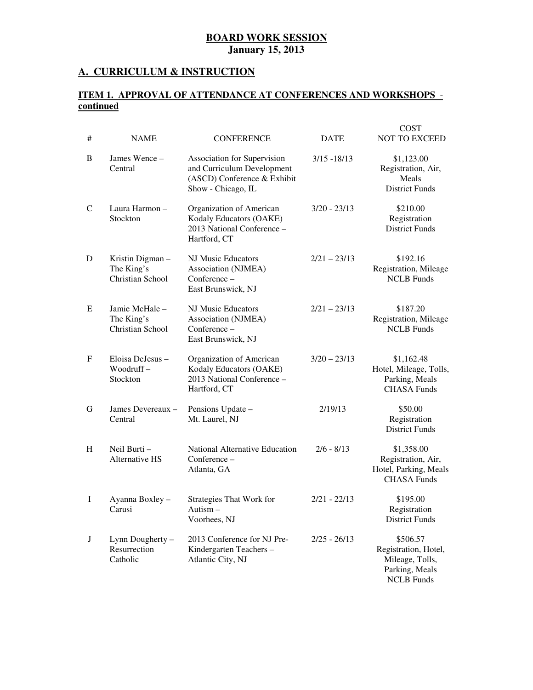#### **A. CURRICULUM & INSTRUCTION**

#### **ITEM 1. APPROVAL OF ATTENDANCE AT CONFERENCES AND WORKSHOPS continued**

| #            | <b>NAME</b>                                       | <b>CONFERENCE</b>                                                                                              | <b>DATE</b>    | <b>COST</b><br><b>NOT TO EXCEED</b>                                                        |
|--------------|---------------------------------------------------|----------------------------------------------------------------------------------------------------------------|----------------|--------------------------------------------------------------------------------------------|
| B            | James Wence -<br>Central                          | Association for Supervision<br>and Curriculum Development<br>(ASCD) Conference & Exhibit<br>Show - Chicago, IL | $3/15 - 18/13$ | \$1,123.00<br>Registration, Air,<br>Meals<br><b>District Funds</b>                         |
| $\mathsf{C}$ | Laura Harmon-<br>Stockton                         | Organization of American<br>Kodaly Educators (OAKE)<br>2013 National Conference -<br>Hartford, CT              | $3/20 - 23/13$ | \$210.00<br>Registration<br><b>District Funds</b>                                          |
| D            | Kristin Digman-<br>The King's<br>Christian School | NJ Music Educators<br>Association (NJMEA)<br>Conference -<br>East Brunswick, NJ                                | $2/21 - 23/13$ | \$192.16<br>Registration, Mileage<br><b>NCLB</b> Funds                                     |
| E            | Jamie McHale-<br>The King's<br>Christian School   | <b>NJ Music Educators</b><br>Association (NJMEA)<br>Conference -<br>East Brunswick, NJ                         | $2/21 - 23/13$ | \$187.20<br>Registration, Mileage<br><b>NCLB</b> Funds                                     |
| F            | Eloisa DeJesus -<br>$Woodruff -$<br>Stockton      | Organization of American<br>Kodaly Educators (OAKE)<br>2013 National Conference -<br>Hartford, CT              | $3/20 - 23/13$ | \$1,162.48<br>Hotel, Mileage, Tolls,<br>Parking, Meals<br><b>CHASA Funds</b>               |
| G            | James Devereaux -<br>Central                      | Pensions Update -<br>Mt. Laurel, NJ                                                                            | 2/19/13        | \$50.00<br>Registration<br><b>District Funds</b>                                           |
| H            | Neil Burti-<br><b>Alternative HS</b>              | National Alternative Education<br>Conference -<br>Atlanta, GA                                                  | $2/6 - 8/13$   | \$1,358.00<br>Registration, Air,<br>Hotel, Parking, Meals<br><b>CHASA Funds</b>            |
| I            | Ayanna Boxley -<br>Carusi                         | <b>Strategies That Work for</b><br>Autism $-$<br>Voorhees, NJ                                                  | $2/21 - 22/13$ | \$195.00<br>Registration<br><b>District Funds</b>                                          |
| J            | Lynn Dougherty -<br>Resurrection<br>Catholic      | 2013 Conference for NJ Pre-<br>Kindergarten Teachers-<br>Atlantic City, NJ                                     | $2/25 - 26/13$ | \$506.57<br>Registration, Hotel,<br>Mileage, Tolls,<br>Parking, Meals<br><b>NCLB</b> Funds |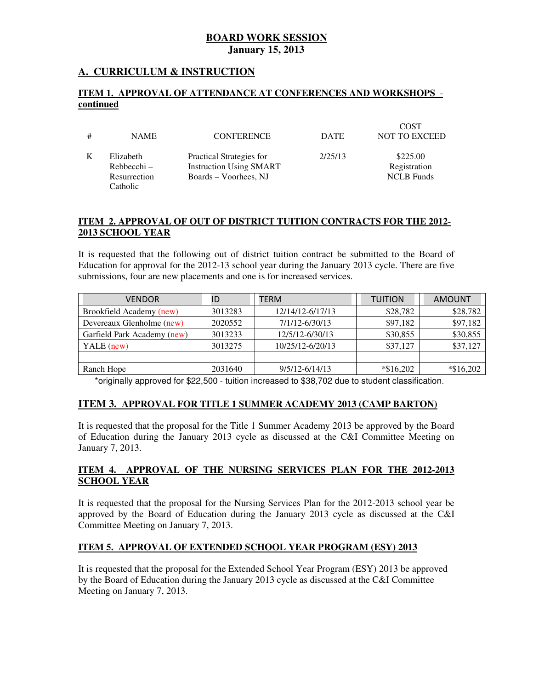#### **A. CURRICULUM & INSTRUCTION**

#### **ITEM 1. APPROVAL OF ATTENDANCE AT CONFERENCES AND WORKSHOPS continued**

| # | <b>NAME</b>                                            | <b>CONFERENCE</b>                                                                   | <b>DATE</b> | <b>COST</b><br><b>NOT TO EXCEED</b>           |
|---|--------------------------------------------------------|-------------------------------------------------------------------------------------|-------------|-----------------------------------------------|
| K | Elizabeth<br>$Rehhecchi -$<br>Resurrection<br>Catholic | Practical Strategies for<br><b>Instruction Using SMART</b><br>Boards – Voorhees, NJ | 2/25/13     | \$225.00<br>Registration<br><b>NCLB</b> Funds |

#### **ITEM 2. APPROVAL OF OUT OF DISTRICT TUITION CONTRACTS FOR THE 2012 2013 SCHOOL YEAR**

 It is requested that the following out of district tuition contract be submitted to the Board of Education for approval for the 2012-13 school year during the January 2013 cycle. There are five submissions, four are new placements and one is for increased services.

| ID      | TERM               | <b>TUITION</b> | <b>AMOUNT</b> |
|---------|--------------------|----------------|---------------|
| 3013283 | 12/14/12-6/17/13   | \$28,782       | \$28,782      |
| 2020552 | 7/1/12-6/30/13     | \$97,182       | \$97,182      |
| 3013233 | 12/5/12-6/30/13    | \$30,855       | \$30,855      |
| 3013275 | 10/25/12-6/20/13   | \$37,127       | \$37,127      |
|         |                    |                |               |
| 2031640 | $9/5/12 - 6/14/13$ | $*\$16,202$    | $*\$16,202$   |
|         |                    |                |               |

\*originally approved for \$22,500 - tuition increased to \$38,702 due to student classification.

#### **ITEM 3. APPROVAL FOR TITLE 1 SUMMER ACADEMY 2013 (CAMP BARTON)**

 It is requested that the proposal for the Title 1 Summer Academy 2013 be approved by the Board of Education during the January 2013 cycle as discussed at the C&I Committee Meeting on January 7, 2013.

#### **ITEM 4. APPROVAL OF THE NURSING SERVICES PLAN FOR THE 2012-2013 SCHOOL YEAR**

 It is requested that the proposal for the Nursing Services Plan for the 2012-2013 school year be approved by the Board of Education during the January 2013 cycle as discussed at the C&I Committee Meeting on January 7, 2013.

#### **ITEM 5. APPROVAL OF EXTENDED SCHOOL YEAR PROGRAM (ESY) 2013**

 It is requested that the proposal for the Extended School Year Program (ESY) 2013 be approved by the Board of Education during the January 2013 cycle as discussed at the C&I Committee Meeting on January 7, 2013.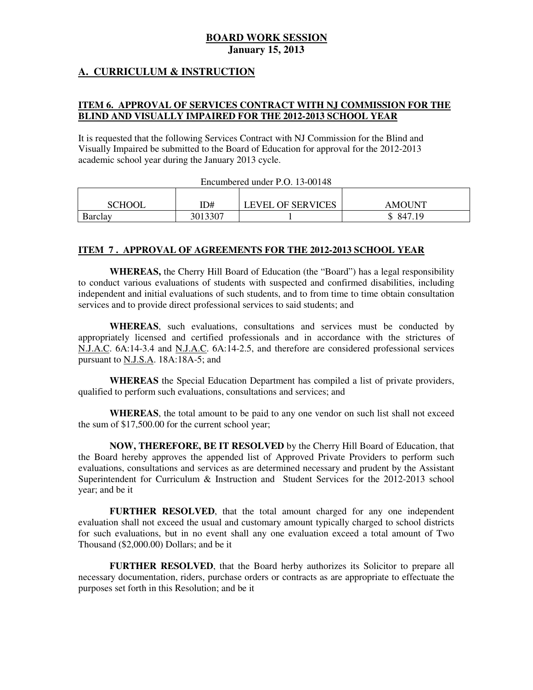#### **A. CURRICULUM & INSTRUCTION**

#### **ITEM 6. APPROVAL OF SERVICES CONTRACT WITH NJ COMMISSION FOR THE BLIND AND VISUALLY IMPAIRED FOR THE 2012-2013 SCHOOL YEAR**

 It is requested that the following Services Contract with NJ Commission for the Blind and Visually Impaired be submitted to the Board of Education for approval for the 2012-2013 academic school year during the January 2013 cycle.

| Encumbered under P.O. 13-00148 |         |                          |               |  |  |
|--------------------------------|---------|--------------------------|---------------|--|--|
|                                |         |                          |               |  |  |
| <b>SCHOOL</b>                  | ID#     | <b>LEVEL OF SERVICES</b> | <b>AMOUNT</b> |  |  |
| Barclav                        | 3013307 |                          | \$ 847.19     |  |  |

## $E = 1.5 \text{ D} \Omega$  12.00148

#### **ITEM 7 . APPROVAL OF AGREEMENTS FOR THE 2012-2013 SCHOOL YEAR**

 **WHEREAS,** the Cherry Hill Board of Education (the "Board") has a legal responsibility to conduct various evaluations of students with suspected and confirmed disabilities, including independent and initial evaluations of such students, and to from time to time obtain consultation services and to provide direct professional services to said students; and

 **WHEREAS**, such evaluations, consultations and services must be conducted by appropriately licensed and certified professionals and in accordance with the strictures of N.J.A.C. 6A:14-3.4 and N.J.A.C. 6A:14-2.5, and therefore are considered professional services pursuant to **N.J.S.A**. 18A:18A-5; and

 **WHEREAS** the Special Education Department has compiled a list of private providers, qualified to perform such evaluations, consultations and services; and

 **WHEREAS**, the total amount to be paid to any one vendor on such list shall not exceed the sum of \$17,500.00 for the current school year;

 **NOW, THEREFORE, BE IT RESOLVED** by the Cherry Hill Board of Education, that the Board hereby approves the appended list of Approved Private Providers to perform such evaluations, consultations and services as are determined necessary and prudent by the Assistant Superintendent for Curriculum & Instruction and Student Services for the 2012-2013 school year; and be it

 **FURTHER RESOLVED**, that the total amount charged for any one independent evaluation shall not exceed the usual and customary amount typically charged to school districts for such evaluations, but in no event shall any one evaluation exceed a total amount of Two Thousand (\$2,000.00) Dollars; and be it

 **FURTHER RESOLVED**, that the Board herby authorizes its Solicitor to prepare all necessary documentation, riders, purchase orders or contracts as are appropriate to effectuate the purposes set forth in this Resolution; and be it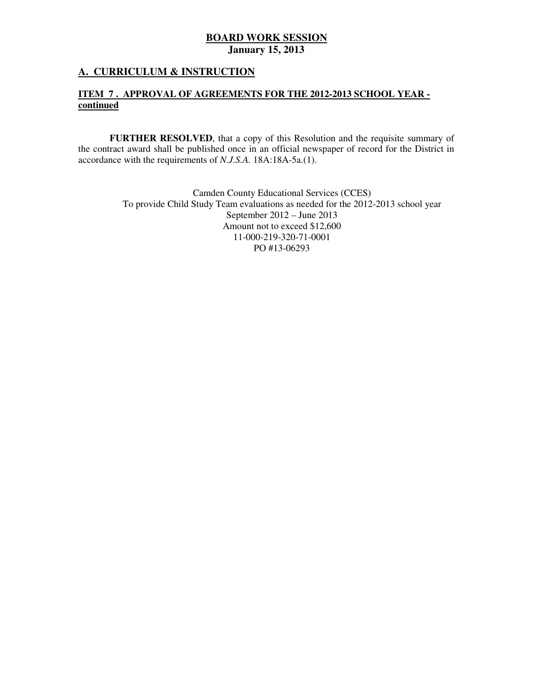#### **A. CURRICULUM & INSTRUCTION**

#### **ITEM 7 . APPROVAL OF AGREEMENTS FOR THE 2012-2013 SCHOOL YEAR continued**

 **FURTHER RESOLVED**, that a copy of this Resolution and the requisite summary of the contract award shall be published once in an official newspaper of record for the District in accordance with the requirements of *N.J.S.A.* 18A:18A-5a.(1).

> Camden County Educational Services (CCES) To provide Child Study Team evaluations as needed for the 2012-2013 school year September 2012 – June 2013 Amount not to exceed \$12,600 PO #13-06293 11-000-219-320-71-0001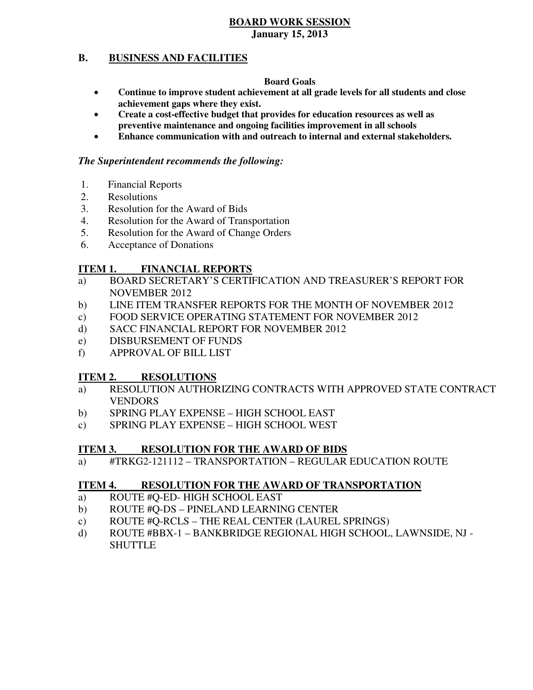#### **B. BUSINESS AND FACILITIES**

#### **Board Goals**

- • **Continue to improve student achievement at all grade levels for all students and close achievement gaps where they exist.**
- **•** Create a cost-effective budget that provides for education resources as well as  **preventive maintenance and ongoing facilities improvement in all schools**
- **• Enhance communication with and outreach to internal and external stakeholders.**

#### *The Superintendent recommends the following:*

- 1. Financial Reports
- 2. Resolutions
- 3. Resolution for the Award of Bids
- 4. Resolution for the Award of Transportation
- 5. Resolution for the Award of Change Orders
- 6. Acceptance of Donations

#### **ITEM 1. FINANCIAL REPORTS**

- a) BOARD SECRETARY'S CERTIFICATION AND TREASURER'S REPORT FOR NOVEMBER 2012
- $b)$ LINE ITEM TRANSFER REPORTS FOR THE MONTH OF NOVEMBER 2012
- c) FOOD SERVICE OPERATING STATEMENT FOR NOVEMBER 2012
- d) SACC FINANCIAL REPORT FOR NOVEMBER 2012
- e) DISBURSEMENT OF FUNDS
- f) APPROVAL OF BILL LIST

#### **ITEM 2. RESOLUTIONS**

- a) RESOLUTION AUTHORIZING CONTRACTS WITH APPROVED STATE CONTRACT VENDORS
- b) SPRING PLAY EXPENSE HIGH SCHOOL EAST
- c) SPRING PLAY EXPENSE HIGH SCHOOL WEST

#### **ITEM 3. RESOLUTION FOR THE AWARD OF BIDS**

a) #TRKG2-121112 – TRANSPORTATION – REGULAR EDUCATION ROUTE

#### **ITEM 4. RESOLUTION FOR THE AWARD OF TRANSPORTATION**

- a) ROUTE #Q-ED- HIGH SCHOOL EAST
- b) ROUTE #Q-DS PINELAND LEARNING CENTER
- c) ROUTE #Q-RCLS THE REAL CENTER (LAUREL SPRINGS)
- d) ROUTE #BBX-1 BANKBRIDGE REGIONAL HIGH SCHOOL, LAWNSIDE, NJ -**SHUTTLE**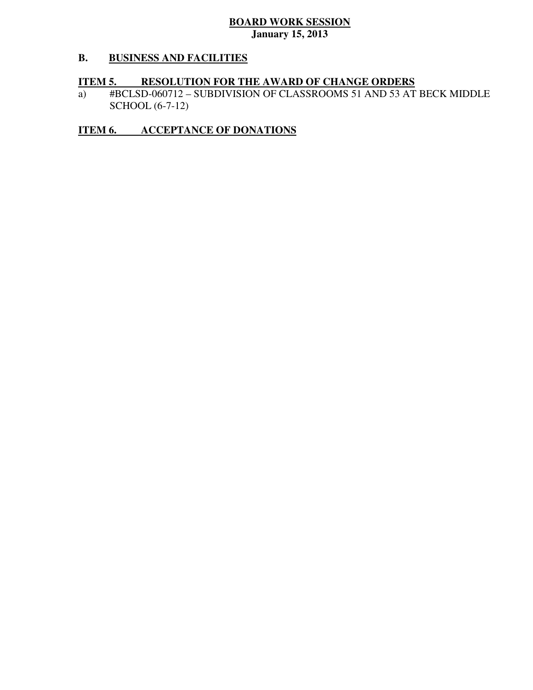#### **B. BUSINESS AND FACILITIES**

#### **ITEM 5. RESOLUTION FOR THE AWARD OF CHANGE ORDERS**

J. SCHOOL (6-7-12) a) #BCLSD-060712 – SUBDIVISION OF CLASSROOMS 51 AND 53 AT BECK MIDDLE

### **ITEM 6. ACCEPTANCE OF DONATIONS**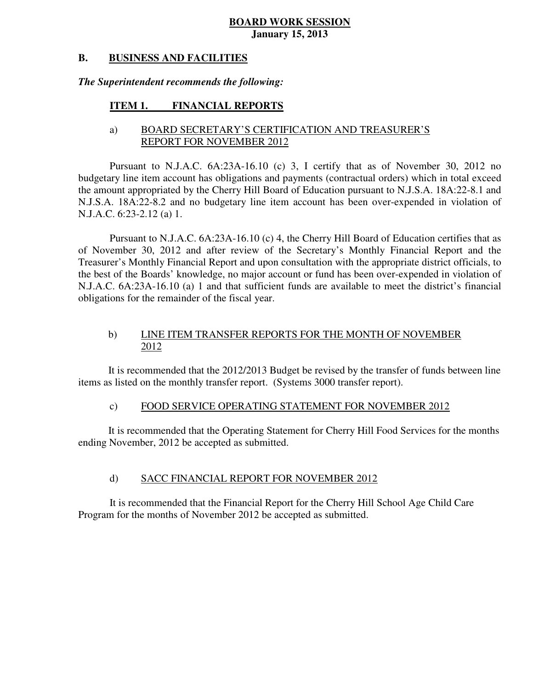#### **B. BUSINESS AND FACILITIES**

#### *The Superintendent recommends the following:*

#### **ITEM 1. FINANCIAL REPORTS**

#### a) BOARD SECRETARY'S CERTIFICATION AND TREASURER'S REPORT FOR NOVEMBER 2012

 Pursuant to N.J.A.C. 6A:23A-16.10 (c) 3, I certify that as of November 30, 2012 no budgetary line item account has obligations and payments (contractual orders) which in total exceed the amount appropriated by the Cherry Hill Board of Education pursuant to N.J.S.A. 18A:22-8.1 and N.J.S.A. 18A:22-8.2 and no budgetary line item account has been over-expended in violation of N.J.A.C. 6:23-2.12 (a) 1.

 Pursuant to N.J.A.C. 6A:23A-16.10 (c) 4, the Cherry Hill Board of Education certifies that as of November 30, 2012 and after review of the Secretary's Monthly Financial Report and the Treasurer's Monthly Financial Report and upon consultation with the appropriate district officials, to the best of the Boards' knowledge, no major account or fund has been over-expended in violation of N.J.A.C. 6A:23A-16.10 (a) 1 and that sufficient funds are available to meet the district's financial obligations for the remainder of the fiscal year.

#### b) LINE ITEM TRANSFER REPORTS FOR THE MONTH OF NOVEMBER 2012

 It is recommended that the 2012/2013 Budget be revised by the transfer of funds between line items as listed on the monthly transfer report. (Systems 3000 transfer report).

#### $\mathbf{c})$ FOOD SERVICE OPERATING STATEMENT FOR NOVEMBER 2012

 It is recommended that the Operating Statement for Cherry Hill Food Services for the months ending November, 2012 be accepted as submitted.

#### $\mathbf{d}$ SACC FINANCIAL REPORT FOR NOVEMBER 2012

 It is recommended that the Financial Report for the Cherry Hill School Age Child Care Program for the months of November 2012 be accepted as submitted.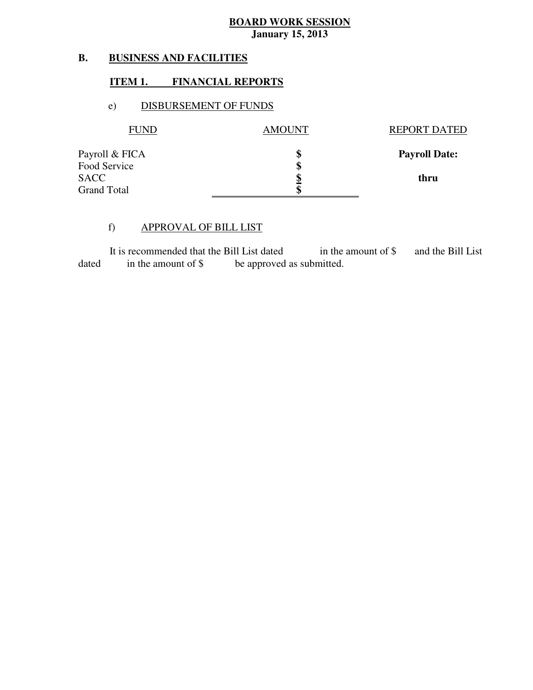#### **B. BUSINESS AND FACILITIES**

#### **ITEM 1. FINANCIAL REPORTS**

#### e) DISBURSEMENT OF FUNDS

| FUND               | <b>AMOUNT</b> | <b>REPORT DATED</b>  |
|--------------------|---------------|----------------------|
| Payroll & FICA     | \$            | <b>Payroll Date:</b> |
| Food Service       | \$            |                      |
| <b>SACC</b>        |               | thru                 |
| <b>Grand Total</b> | \$            |                      |

#### f) APPROVAL OF BILL LIST

dated It is recommended that the Bill List dated in the amount of \$ and the Bill List in the amount of  $\frac{1}{2}$  be approved as submitted.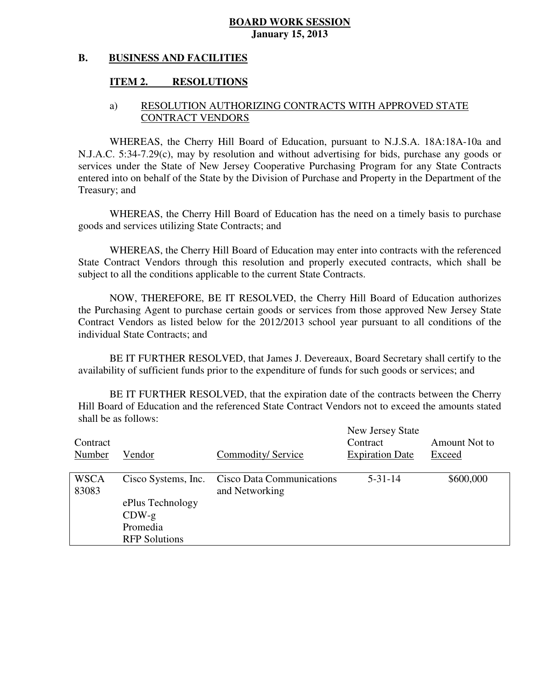#### **B. BUSINESS AND FACILITIES**

#### **ITEM 2. RESOLUTIONS**

#### a) RESOLUTION AUTHORIZING CONTRACTS WITH APPROVED STATE CONTRACT VENDORS

 WHEREAS, the Cherry Hill Board of Education, pursuant to N.J.S.A. 18A:18A-10a and N.J.A.C. 5:34-7.29(c), may by resolution and without advertising for bids, purchase any goods or services under the State of New Jersey Cooperative Purchasing Program for any State Contracts entered into on behalf of the State by the Division of Purchase and Property in the Department of the Treasury; and

 WHEREAS, the Cherry Hill Board of Education has the need on a timely basis to purchase goods and services utilizing State Contracts; and

 WHEREAS, the Cherry Hill Board of Education may enter into contracts with the referenced State Contract Vendors through this resolution and properly executed contracts, which shall be subject to all the conditions applicable to the current State Contracts.

 NOW, THEREFORE, BE IT RESOLVED, the Cherry Hill Board of Education authorizes the Purchasing Agent to purchase certain goods or services from those approved New Jersey State Contract Vendors as listed below for the 2012/2013 school year pursuant to all conditions of the individual State Contracts; and

 availability of sufficient funds prior to the expenditure of funds for such goods or services; and BE IT FURTHER RESOLVED, that James J. Devereaux, Board Secretary shall certify to the

 Hill Board of Education and the referenced State Contract Vendors not to exceed the amounts stated shall be as follows: BE IT FURTHER RESOLVED, that the expiration date of the contracts between the Cherry

| Contract<br>Number   | Vendor                                                          | Commodity/ Service                                 | New Jersey State<br>Contract<br><b>Expiration Date</b> | Amount Not to<br>Exceed |
|----------------------|-----------------------------------------------------------------|----------------------------------------------------|--------------------------------------------------------|-------------------------|
| <b>WSCA</b><br>83083 | Cisco Systems, Inc.                                             | <b>Cisco Data Communications</b><br>and Networking | $5 - 31 - 14$                                          | \$600,000               |
|                      | ePlus Technology<br>$CDW-g$<br>Promedia<br><b>RFP</b> Solutions |                                                    |                                                        |                         |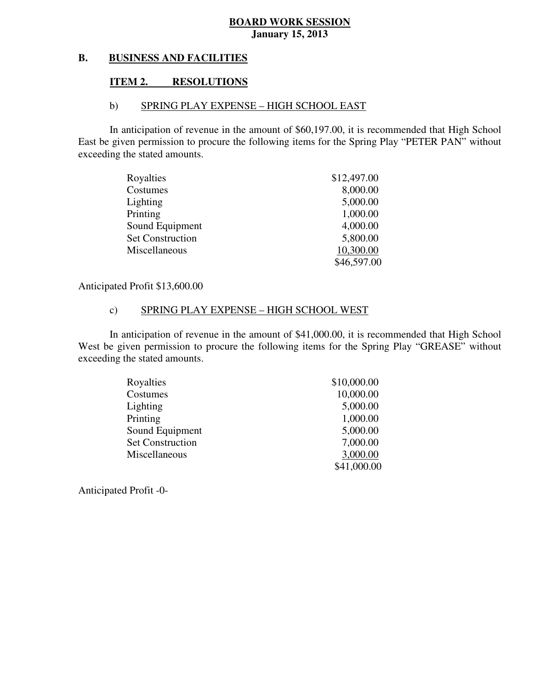#### **B. B. BUSINESS AND FACILITIES**

#### **ITEM 2. RESOLUTIONS**

#### b) SPRING PLAY EXPENSE – HIGH SCHOOL EAST

 In anticipation of revenue in the amount of \$60,197.00, it is recommended that High School East be given permission to procure the following items for the Spring Play "PETER PAN" without exceeding the stated amounts.

| Royalties               | \$12,497.00 |
|-------------------------|-------------|
| Costumes                | 8,000.00    |
| Lighting                | 5,000.00    |
| Printing                | 1,000.00    |
| Sound Equipment         | 4,000.00    |
| <b>Set Construction</b> | 5,800.00    |
| Miscellaneous           | 10,300.00   |
|                         | \$46,597.00 |

Anticipated Profit \$13,600.00

#### c) SPRING PLAY EXPENSE – HIGH SCHOOL WEST

 In anticipation of revenue in the amount of \$41,000.00, it is recommended that High School West be given permission to procure the following items for the Spring Play "GREASE" without exceeding the stated amounts.

| Royalties               | \$10,000.00 |
|-------------------------|-------------|
| Costumes                | 10,000.00   |
| Lighting                | 5,000.00    |
| Printing                | 1,000.00    |
| Sound Equipment         | 5,000.00    |
| <b>Set Construction</b> | 7,000.00    |
| Miscellaneous           | 3,000.00    |
|                         | \$41,000.00 |

Anticipated Profit -0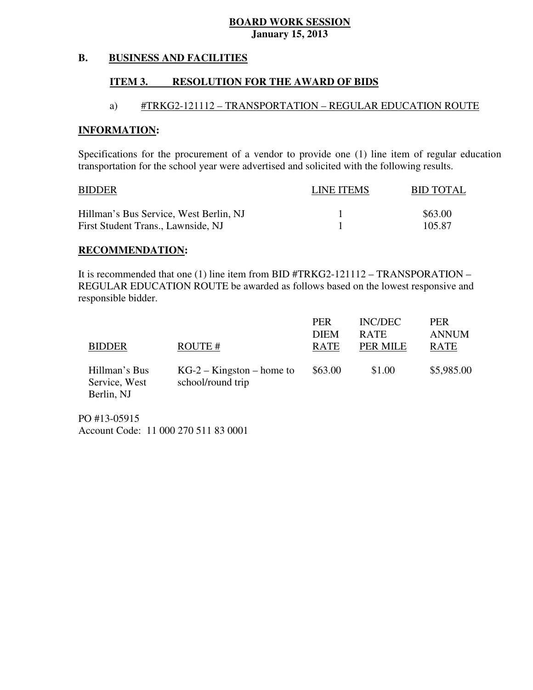#### **B. BUSINESS AND FACILITIES**

#### **ITEM 3. RESOLUTION FOR THE AWARD OF BIDS**

#### a) #TRKG2-121112 – TRANSPORTATION – REGULAR EDUCATION ROUTE

#### **INFORMATION:**

 Specifications for the procurement of a vendor to provide one (1) line item of regular education transportation for the school year were advertised and solicited with the following results.

| <b>BIDDER</b>                          | LINE ITEMS | <b>BID TOTAL</b> |
|----------------------------------------|------------|------------------|
| Hillman's Bus Service, West Berlin, NJ |            | \$63.00          |
| First Student Trans., Lawnside, NJ     |            | 105.87           |

#### **RECOMMENDATION:**

 It is recommended that one (1) line item from BID #TRKG2-121112 – TRANSPORATION – REGULAR EDUCATION ROUTE be awarded as follows based on the lowest responsive and responsible bidder.

| <b>BIDDER</b>                                | ROUTE#                                           | <b>PER</b><br><b>DIEM</b><br><b>RATE</b> | INC/DEC<br><b>RATE</b><br>PER MILE | <b>PER</b><br><b>ANNUM</b><br><b>RATE</b> |
|----------------------------------------------|--------------------------------------------------|------------------------------------------|------------------------------------|-------------------------------------------|
| Hillman's Bus<br>Service, West<br>Berlin, NJ | $KG-2 - Kingston - home to$<br>school/round trip | \$63.00                                  | \$1.00                             | \$5,985.00                                |

 PO #13-05915 Account Code: 11 000 270 511 83 0001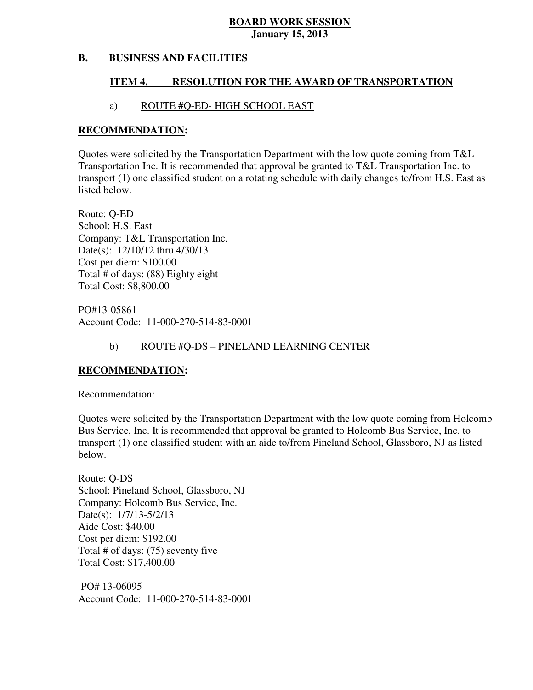#### **B. BUSINESS AND FACILITIES**

#### **ITEM 4. RESOLUTION FOR THE AWARD OF TRANSPORTATION**

#### a) ROUTE #Q-ED- HIGH SCHOOL EAST

#### **RECOMMENDATION:**

 Quotes were solicited by the Transportation Department with the low quote coming from T&L Transportation Inc. It is recommended that approval be granted to T&L Transportation Inc. to transport (1) one classified student on a rotating schedule with daily changes to/from H.S. East as listed below.

 Route: Q-ED School: H.S. East Company: T&L Transportation Inc. Date(s): 12/10/12 thru 4/30/13 Cost per diem: \$100.00 Total # of days: (88) Eighty eight Total Cost: \$8,800.00

 Account Code: 11-000-270-514-83-0001 PO#13-05861

### b) ROUTE #Q-DS – PINELAND LEARNING CENTER

#### **RECOMMENDATION:**

Recommendation:

 Quotes were solicited by the Transportation Department with the low quote coming from Holcomb Bus Service, Inc. It is recommended that approval be granted to Holcomb Bus Service, Inc. to transport (1) one classified student with an aide to/from Pineland School, Glassboro, NJ as listed below.

 Route: Q-DS School: Pineland School, Glassboro, NJ Company: Holcomb Bus Service, Inc. Date(s): 1/7/13-5/2/13 Aide Cost: \$40.00 Cost per diem: \$192.00 Total # of days: (75) seventy five Total Cost: \$17,400.00

 PO# 13-06095 Account Code: 11-000-270-514-83-0001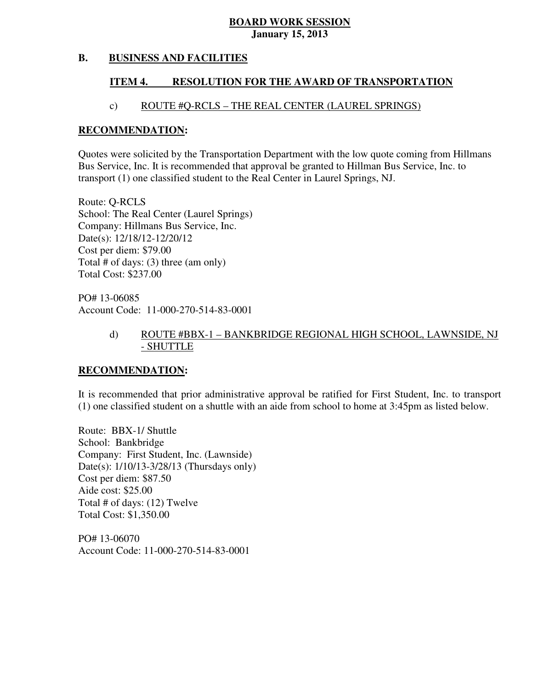#### **B. BUSINESS AND FACILITIES**

#### **ITEM 4. RESOLUTION FOR THE AWARD OF TRANSPORTATION**

#### c) ROUTE #Q-RCLS – THE REAL CENTER (LAUREL SPRINGS)

#### **RECOMMENDATION:**

 Quotes were solicited by the Transportation Department with the low quote coming from Hillmans Bus Service, Inc. It is recommended that approval be granted to Hillman Bus Service, Inc. to transport (1) one classified student to the Real Center in Laurel Springs, NJ.

 Route: Q-RCLS School: The Real Center (Laurel Springs) Company: Hillmans Bus Service, Inc. Date(s): 12/18/12-12/20/12 Cost per diem: \$79.00 Cost per diem: \$79.00 Total # of days: (3) three (am only) Total Cost: \$237.00

 PO# 13-06085 Account Code: 11-000-270-514-83-0001

#### d) ROUTE #BBX-1 – BANKBRIDGE REGIONAL HIGH SCHOOL, LAWNSIDE, NJ - SHUTTLE

#### **RECOMMENDATION:**

 It is recommended that prior administrative approval be ratified for First Student, Inc. to transport (1) one classified student on a shuttle with an aide from school to home at 3:45pm as listed below.

 Route: BBX-1/ Shuttle School: Bankbridge Company: First Student, Inc. (Lawnside) Date(s): 1/10/13-3/28/13 (Thursdays only) Cost per diem: \$87.50 Aide cost: \$25.00 Total # of days: (12) Twelve Total Cost: \$1,350.00

 PO# 13-06070 Account Code: 11-000-270-514-83-0001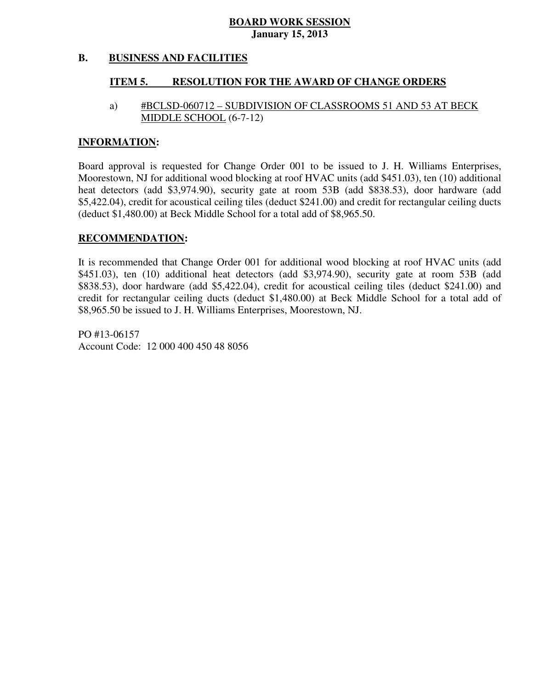#### **B. BUSINESS AND FACILITIES**

#### **ITEM 5. RESOLUTION FOR THE AWARD OF CHANGE ORDERS**

### a) #BCLSD-060712 – SUBDIVISION OF CLASSROOMS 51 AND 53 AT BECK MIDDLE SCHOOL (6-7-12)

#### **INFORMATION:**

 Board approval is requested for Change Order 001 to be issued to J. H. Williams Enterprises, Moorestown, NJ for additional wood blocking at roof HVAC units (add \$451.03), ten (10) additional heat detectors (add \$3,974.90), security gate at room 53B (add \$838.53), door hardware (add \$5,422.04), credit for acoustical ceiling tiles (deduct \$241.00) and credit for rectangular ceiling ducts (deduct \$1,480.00) at Beck Middle School for a total add of \$8,965.50.

#### **RECOMMENDATION:**

 It is recommended that Change Order 001 for additional wood blocking at roof HVAC units (add \$451.03), ten (10) additional heat detectors (add \$3,974.90), security gate at room 53B (add \$838.53), door hardware (add \$5,422.04), credit for acoustical ceiling tiles (deduct \$241.00) and credit for rectangular ceiling ducts (deduct \$1,480.00) at Beck Middle School for a total add of \$8,965.50 be issued to J. H. Williams Enterprises, Moorestown, NJ.

 PO #13-06157 Account Code: 12 000 400 450 48 8056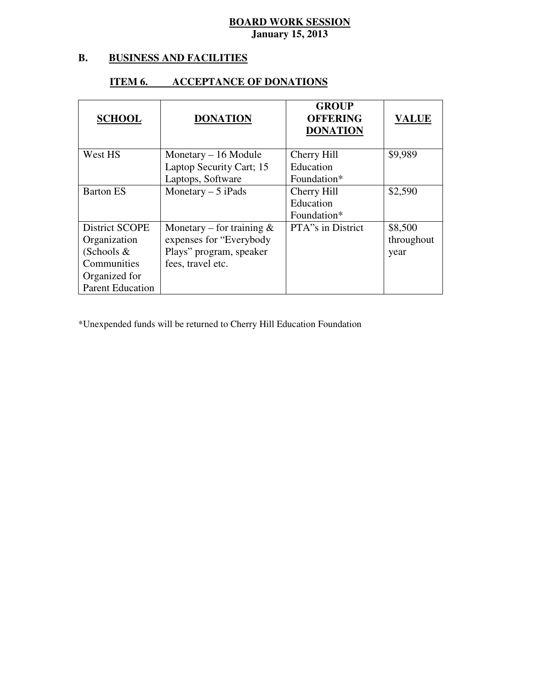#### **B. B. BUSINESS AND FACILITIES**

#### **ITEM 6. ACCEPTANCE OF DONATIONS**

| <b>SCHOOL</b>                  | <b>DONATION</b>                                          | <b>GROUP</b><br><b>OFFERING</b><br><b>DONATION</b> | <b>VALUE</b>          |
|--------------------------------|----------------------------------------------------------|----------------------------------------------------|-----------------------|
| West HS                        | Monetary $-16$ Module                                    | Cherry Hill                                        | \$9,989               |
|                                | Laptop Security Cart; 15<br>Laptops, Software            | Education<br>Foundation*                           |                       |
| <b>Barton ES</b>               | Monetary $-5$ iPads                                      | Cherry Hill<br>Education<br>Foundation*            | \$2,590               |
| District SCOPE<br>Organization | Monetary – for training $\&$<br>expenses for "Everybody" | PTA"s in District                                  | \$8,500<br>throughout |
| (Schools $&$                   | Plays" program, speaker                                  |                                                    | year                  |
| Communities                    | fees, travel etc.                                        |                                                    |                       |
| Organized for                  |                                                          |                                                    |                       |
| <b>Parent Education</b>        |                                                          |                                                    |                       |

\*Unexpended funds will be returned to Cherry Hill Education Foundation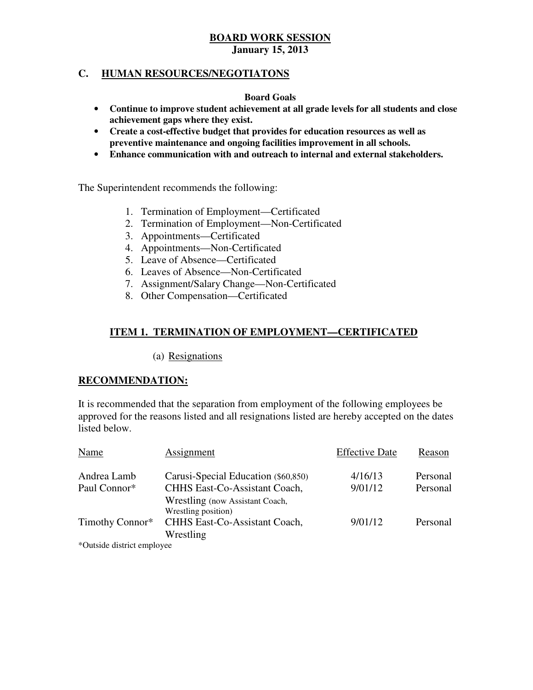### **C. HUMAN RESOURCES/NEGOTIATONS**

#### **Board Goals**

- • **Continue to improve student achievement at all grade levels for all students and close achievement gaps where they exist.**
- **•** Create a cost-effective budget that provides for education resources as well as  **preventive maintenance and ongoing facilities improvement in all schools.**
- • **Enhance communication with and outreach to internal and external stakeholders.**

The Superintendent recommends the following:

- 1. Termination of Employment—Certificated
- 2. Termination of Employment—Non-Certificated
- 3. Appointments—Certificated
- 3. Appointments—Certificated 4. Appointments—Non-Certificated
- 5. Leave of Absence—Certificated
- 6. Leaves of Absence—Non-Certificated
- 7. Assignment/Salary Change—Non-Certificated
- 8. Other Compensation—Certificated

#### **ITEM 1. TERMINATION OF EMPLOYMENT—CERTIFICATED**

(a) Resignations

#### **RECOMMENDATION:**

 It is recommended that the separation from employment of the following employees be approved for the reasons listed and all resignations listed are hereby accepted on the dates listed below.

| Name                       | Assignment                                                       | <b>Effective Date</b> | Reason   |
|----------------------------|------------------------------------------------------------------|-----------------------|----------|
| Andrea Lamb                | Carusi-Special Education (\$60,850)                              | 4/16/13               | Personal |
| Paul Connor*               | CHHS East-Co-Assistant Coach,<br>Wrestling (now Assistant Coach, | 9/01/12               | Personal |
| Timothy Connor*            | Wrestling position)<br>CHHS East-Co-Assistant Coach,             | 9/01/12               | Personal |
|                            | Wrestling                                                        |                       |          |
| *Outside district employee |                                                                  |                       |          |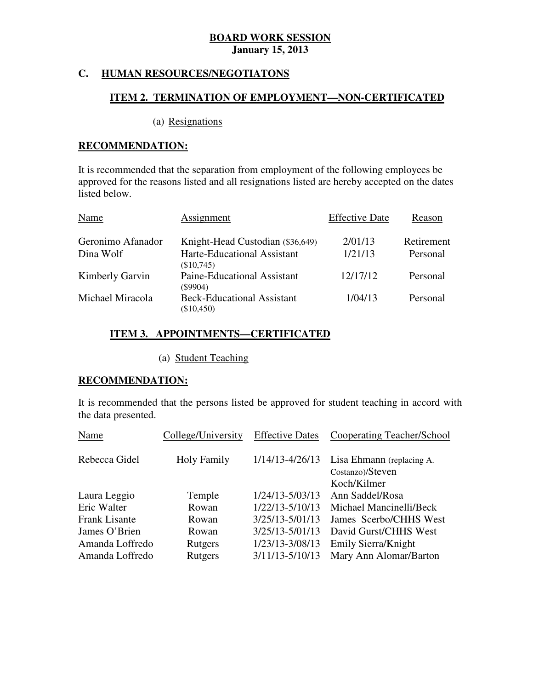### **C. HUMAN RESOURCES/NEGOTIATONS**

#### **ITEM 2. TERMINATION OF EMPLOYMENT—NON-CERTIFICATED**

#### (a) Resignations

#### **RECOMMENDATION:**

 It is recommended that the separation from employment of the following employees be approved for the reasons listed and all resignations listed are hereby accepted on the dates listed below.

| Name              | Assignment                                        | <b>Effective Date</b> | Reason     |
|-------------------|---------------------------------------------------|-----------------------|------------|
| Geronimo Afanador | Knight-Head Custodian (\$36,649)                  | 2/01/13               | Retirement |
| Dina Wolf         | Harte-Educational Assistant<br>(\$10,745)         | 1/21/13               | Personal   |
| Kimberly Garvin   | Paine-Educational Assistant<br>$($ \$9904)        | 12/17/12              | Personal   |
| Michael Miracola  | <b>Beck-Educational Assistant</b><br>$(\$10,450)$ | 1/04/13               | Personal   |

#### **ITEM 3. APPOINTMENTS—CERTIFICATED**

(a) Student Teaching

#### **RECOMMENDATION:**

 It is recommended that the persons listed be approved for student teaching in accord with the data presented.

| Name                 | College/University | <b>Effective Dates</b> | Cooperating Teacher/School                                   |
|----------------------|--------------------|------------------------|--------------------------------------------------------------|
| Rebecca Gidel        | <b>Holy Family</b> | 1/14/13-4/26/13        | Lisa Ehmann (replacing A.<br>Costanzo)/Steven<br>Koch/Kilmer |
| Laura Leggio         | Temple             | 1/24/13-5/03/13        | Ann Saddel/Rosa                                              |
| Eric Walter          | Rowan              | 1/22/13-5/10/13        | Michael Mancinelli/Beck                                      |
| <b>Frank Lisante</b> | Rowan              | 3/25/13-5/01/13        | James Scerbo/CHHS West                                       |
| James O'Brien        | Rowan              | 3/25/13-5/01/13        | David Gurst/CHHS West                                        |
| Amanda Loffredo      | Rutgers            | 1/23/13-3/08/13        | Emily Sierra/Knight                                          |
| Amanda Loffredo      | Rutgers            | 3/11/13-5/10/13        | Mary Ann Alomar/Barton                                       |
|                      |                    |                        |                                                              |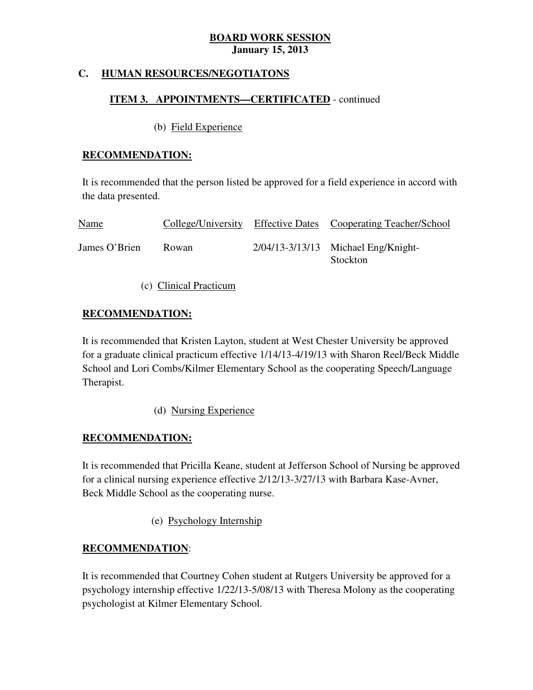### **C. HUMAN RESOURCES/NEGOTIATONS**

### **ITEM 3. APPOINTMENTS—CERTIFICATED** - continued

#### (b) Field Experience

#### **RECOMMENDATION:**

 It is recommended that the person listed be approved for a field experience in accord with the data presented.

| Name          | College/University     | Effective Dates Cooperating Teacher/School      |
|---------------|------------------------|-------------------------------------------------|
| James O'Brien | Rowan                  | 2/04/13-3/13/13 Michael Eng/Knight-<br>Stockton |
|               | (c) Clinical Practicum |                                                 |

### **RECOMMENDATION:**

 It is recommended that Kristen Layton, student at West Chester University be approved for a graduate clinical practicum effective 1/14/13-4/19/13 with Sharon Reel/Beck Middle School and Lori Combs/Kilmer Elementary School as the cooperating Speech/Language Therapist.

(d) Nursing Experience

### **RECOMMENDATION:**

 It is recommended that Pricilla Keane, student at Jefferson School of Nursing be approved for a clinical nursing experience effective 2/12/13-3/27/13 with Barbara Kase-Avner, Beck Middle School as the cooperating nurse.

(e) Psychology Internship

### **RECOMMENDATION**:

 It is recommended that Courtney Cohen student at Rutgers University be approved for a psychology internship effective 1/22/13-5/08/13 with Theresa Molony as the cooperating psychologist at Kilmer Elementary School.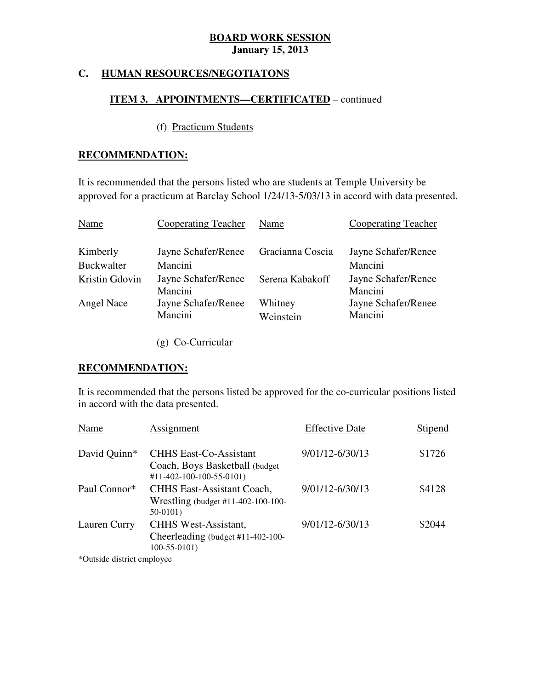#### **C. HUMAN RESOURCES/NEGOTIATONS**

### **ITEM 3. APPOINTMENTS—CERTIFICATED** – continued

# (f) Practicum Students

#### **RECOMMENDATION:**

 It is recommended that the persons listed who are students at Temple University be approved for a practicum at Barclay School 1/24/13-5/03/13 in accord with data presented.

| Name              | Cooperating Teacher            | Name                 | Cooperating Teacher            |
|-------------------|--------------------------------|----------------------|--------------------------------|
| Kimberly          | Jayne Schafer/Renee            | Gracianna Coscia     | Jayne Schafer/Renee            |
| <b>Buckwalter</b> | Mancini                        |                      | Mancini                        |
| Kristin Gdovin    | Jayne Schafer/Renee<br>Mancini | Serena Kabakoff      | Jayne Schafer/Renee<br>Mancini |
| Angel Nace        | Jayne Schafer/Renee<br>Mancini | Whitney<br>Weinstein | Jayne Schafer/Renee<br>Mancini |
|                   |                                |                      |                                |

(g) Co-Curricular

#### **RECOMMENDATION:**

 It is recommended that the persons listed be approved for the co-curricular positions listed in accord with the data presented.

| Name         | Assignment                                                                                              | <b>Effective Date</b> | Stipend |
|--------------|---------------------------------------------------------------------------------------------------------|-----------------------|---------|
| David Quinn* | <b>CHHS East-Co-Assistant</b><br>Coach, Boys Basketball (budget<br>$\#11 - 402 - 100 - 100 - 55 - 0101$ | 9/01/12-6/30/13       | \$1726  |
| Paul Connor* | <b>CHHS East-Assistant Coach,</b><br>Wrestling (budget #11-402-100-100-<br>$50-0101$                    | 9/01/12-6/30/13       | \$4128  |
| Lauren Curry | <b>CHHS West-Assistant,</b><br>Cheerleading (budget $#11-402-100-$<br>$100-55-0101$                     | 9/01/12-6/30/13       | \$2044  |
|              |                                                                                                         |                       |         |

\*Outside district employee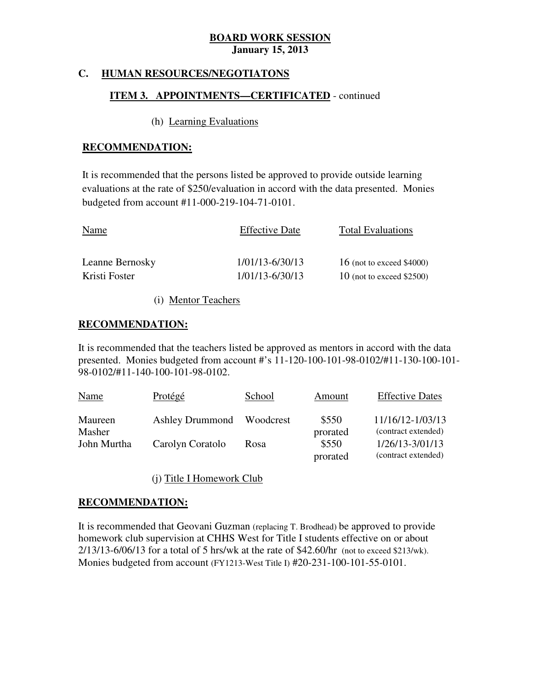### **C. HUMAN RESOURCES/NEGOTIATONS**

### **ITEM 3. APPOINTMENTS—CERTIFICATED** - continued

#### (h) Learning Evaluations

#### **RECOMMENDATION:**

 It is recommended that the persons listed be approved to provide outside learning evaluations at the rate of \$250/evaluation in accord with the data presented. Monies budgeted from account #11-000-219-104-71-0101.

| Name            | <b>Effective Date</b> | <b>Total Evaluations</b>    |
|-----------------|-----------------------|-----------------------------|
| Leanne Bernosky | 1/01/13-6/30/13       | 16 (not to exceed $$4000$ ) |
| Kristi Foster   | 1/01/13-6/30/13       | 10 (not to exceed $$2500$ ) |

(i) Mentor Teachers

#### **RECOMMENDATION:**

 It is recommended that the teachers listed be approved as mentors in accord with the data presented. Monies budgeted from account #'s 11-120-100-101-98-0102/#11-130-100-101 98-0102/#11-140-100-101-98-0102.

| <b>Name</b> | Protégé                | School    | Amount   | <b>Effective Dates</b> |
|-------------|------------------------|-----------|----------|------------------------|
| Maureen     | <b>Ashley Drummond</b> | Woodcrest | \$550    | 11/16/12-1/03/13       |
| Masher      |                        |           | prorated | (contract extended)    |
| John Murtha | Carolyn Coratolo       | Rosa      | \$550    | $1/26/13 - 3/01/13$    |
|             |                        |           | prorated | (contract extended)    |

(j) Title I Homework Club

#### **RECOMMENDATION:**

 It is recommended that Geovani Guzman (replacing T. Brodhead) be approved to provide homework club supervision at CHHS West for Title I students effective on or about 2/13/13-6/06/13 for a total of 5 hrs/wk at the rate of \$42.60/hr (not to exceed \$213/wk). Monies budgeted from account (FY1213-West Title I) #20-231-100-101-55-0101.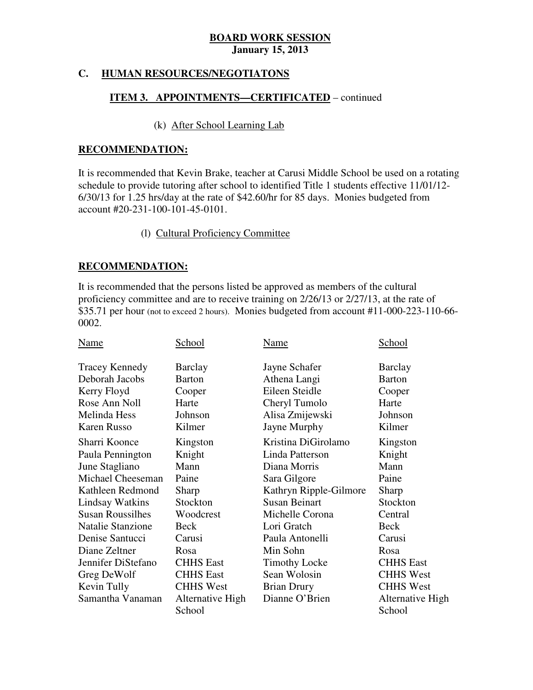#### **C. HUMAN RESOURCES/NEGOTIATONS**

#### **ITEM 3. APPOINTMENTS—CERTIFICATED** – continued

#### (k) After School Learning Lab

#### **RECOMMENDATION:**

 It is recommended that Kevin Brake, teacher at Carusi Middle School be used on a rotating schedule to provide tutoring after school to identified Title 1 students effective 11/01/12 6/30/13 for 1.25 hrs/day at the rate of \$42.60/hr for 85 days. Monies budgeted from account #20-231-100-101-45-0101.

#### (l) Cultural Proficiency Committee

#### **RECOMMENDATION:**

 It is recommended that the persons listed be approved as members of the cultural proficiency committee and are to receive training on 2/26/13 or 2/27/13, at the rate of \$35.71 per hour (not to exceed 2 hours). Monies budgeted from account #11-000-223-110-66 0002.

| Name                     | School                     | Name                   | School                     |
|--------------------------|----------------------------|------------------------|----------------------------|
| <b>Tracey Kennedy</b>    | <b>Barclay</b>             | Jayne Schafer          | <b>Barclay</b>             |
| Deborah Jacobs           | <b>Barton</b>              | Athena Langi           | <b>Barton</b>              |
| Kerry Floyd              | Cooper                     | Eileen Steidle         | Cooper                     |
| Rose Ann Noll            | Harte                      | Cheryl Tumolo          | Harte                      |
| Melinda Hess             | Johnson                    | Alisa Zmijewski        | Johnson                    |
| <b>Karen Russo</b>       | Kilmer                     | Jayne Murphy           | Kilmer                     |
| Sharri Koonce            | Kingston                   | Kristina DiGirolamo    | Kingston                   |
| Paula Pennington         | Knight                     | Linda Patterson        | Knight                     |
| June Stagliano           | Mann                       | Diana Morris           | Mann                       |
| Michael Cheeseman        | Paine                      | Sara Gilgore           | Paine                      |
| Kathleen Redmond         | Sharp                      | Kathryn Ripple-Gilmore | Sharp                      |
| <b>Lindsay Watkins</b>   | Stockton                   | <b>Susan Beinart</b>   | Stockton                   |
| <b>Susan Roussilhes</b>  | Woodcrest                  | Michelle Corona        | Central                    |
| <b>Natalie Stanzione</b> | Beck                       | Lori Gratch            | Beck                       |
| Denise Santucci          | Carusi                     | Paula Antonelli        | Carusi                     |
| Diane Zeltner            | Rosa                       | Min Sohn               | Rosa                       |
| Jennifer DiStefano       | <b>CHHS East</b>           | <b>Timothy Locke</b>   | <b>CHHS East</b>           |
| Greg DeWolf              | <b>CHHS</b> East           | Sean Wolosin           | <b>CHHS West</b>           |
| Kevin Tully              | <b>CHHS West</b>           | <b>Brian Drury</b>     | <b>CHHS West</b>           |
| Samantha Vanaman         | Alternative High<br>School | Dianne O'Brien         | Alternative High<br>School |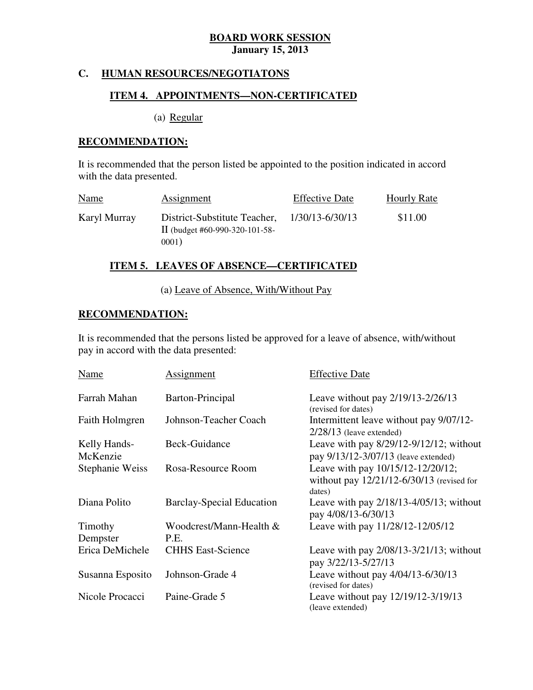#### **C. HUMAN RESOURCES/NEGOTIATONS**

#### **ITEM 4. APPOINTMENTS—NON-CERTIFICATED**

(a) Regular

#### **RECOMMENDATION:**

 It is recommended that the person listed be appointed to the position indicated in accord with the data presented.

| Name         | Assignment                                                              | <b>Effective Date</b> | <b>Hourly Rate</b> |
|--------------|-------------------------------------------------------------------------|-----------------------|--------------------|
| Karyl Murray | District-Substitute Teacher,<br>II (budget #60-990-320-101-58-<br>0001) | 1/30/13-6/30/13       | \$11.00            |

#### **ITEM 5. LEAVES OF ABSENCE—CERTIFICATED**

(a) Leave of Absence, With/Without Pay

#### **RECOMMENDATION:**

 It is recommended that the persons listed be approved for a leave of absence, with/without pay in accord with the data presented:

| Name                     | Assignment                       | <b>Effective Date</b>                                                                    |
|--------------------------|----------------------------------|------------------------------------------------------------------------------------------|
| Farrah Mahan             | Barton-Principal                 | Leave without pay 2/19/13-2/26/13<br>(revised for dates)                                 |
| Faith Holmgren           | Johnson-Teacher Coach            | Intermittent leave without pay 9/07/12-<br>$2/28/13$ (leave extended)                    |
| Kelly Hands-<br>McKenzie | Beck-Guidance                    | Leave with pay $8/29/12-9/12/12$ ; without<br>pay 9/13/12-3/07/13 (leave extended)       |
| <b>Stephanie Weiss</b>   | Rosa-Resource Room               | Leave with pay 10/15/12-12/20/12;<br>without pay 12/21/12-6/30/13 (revised for<br>dates) |
| Diana Polito             | <b>Barclay-Special Education</b> | Leave with pay $2/18/13 - 4/05/13$ ; without<br>pay 4/08/13-6/30/13                      |
| Timothy                  | Woodcrest/Mann-Health &          | Leave with pay 11/28/12-12/05/12                                                         |
| Dempster                 | P.E.                             |                                                                                          |
| Erica DeMichele          | <b>CHHS East-Science</b>         | Leave with pay $2/08/13 - 3/21/13$ ; without<br>pay 3/22/13-5/27/13                      |
| Susanna Esposito         | Johnson-Grade 4                  | Leave without pay 4/04/13-6/30/13<br>(revised for dates)                                 |
| Nicole Procacci          | Paine-Grade 5                    | Leave without pay 12/19/12-3/19/13<br>(leave extended)                                   |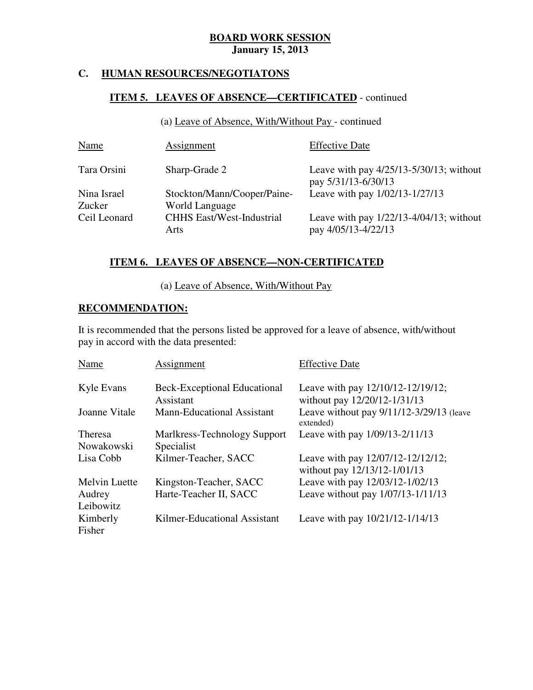#### **C. HUMAN RESOURCES/NEGOTIATONS**

#### **ITEM 5. LEAVES OF ABSENCE—CERTIFICATED** - continued

(a) Leave of Absence, With/Without Pay - continued

| <b>Name</b>  | <b>Assignment</b>                        | <b>Effective Date</b>                                             |
|--------------|------------------------------------------|-------------------------------------------------------------------|
| Tara Orsini  | Sharp-Grade 2                            | Leave with pay $4/25/13-5/30/13$ ; without<br>pay 5/31/13-6/30/13 |
| Nina Israel  | Stockton/Mann/Cooper/Paine-              | Leave with pay 1/02/13-1/27/13                                    |
| Zucker       | World Language                           |                                                                   |
| Ceil Leonard | <b>CHHS East/West-Industrial</b><br>Arts | Leave with pay $1/22/13-4/04/13$ ; without<br>pay 4/05/13-4/22/13 |

#### **ITEM 6. LEAVES OF ABSENCE—NON-CERTIFICATED**

(a) Leave of Absence, With/Without Pay

#### **RECOMMENDATION:**

 It is recommended that the persons listed be approved for a leave of absence, with/without pay in accord with the data presented:

| Name                 | Assignment                          | <b>Effective Date</b>                                             |
|----------------------|-------------------------------------|-------------------------------------------------------------------|
| Kyle Evans           | <b>Beck-Exceptional Educational</b> | Leave with pay 12/10/12-12/19/12;                                 |
|                      | Assistant                           | without pay 12/20/12-1/31/13                                      |
| Joanne Vitale        | <b>Mann-Educational Assistant</b>   | Leave without pay 9/11/12-3/29/13 (leave<br>extended)             |
| Theresa              | Marlkress-Technology Support        | Leave with pay 1/09/13-2/11/13                                    |
| Nowakowski           | Specialist                          |                                                                   |
| Lisa Cobb            | Kilmer-Teacher, SACC                | Leave with pay 12/07/12-12/12/12;<br>without pay 12/13/12-1/01/13 |
| <b>Melvin Luette</b> | Kingston-Teacher, SACC              | Leave with pay 12/03/12-1/02/13                                   |
| Audrey               | Harte-Teacher II, SACC              | Leave without pay 1/07/13-1/11/13                                 |
| Leibowitz            |                                     |                                                                   |
| Kimberly<br>Fisher   | Kilmer-Educational Assistant        | Leave with pay 10/21/12-1/14/13                                   |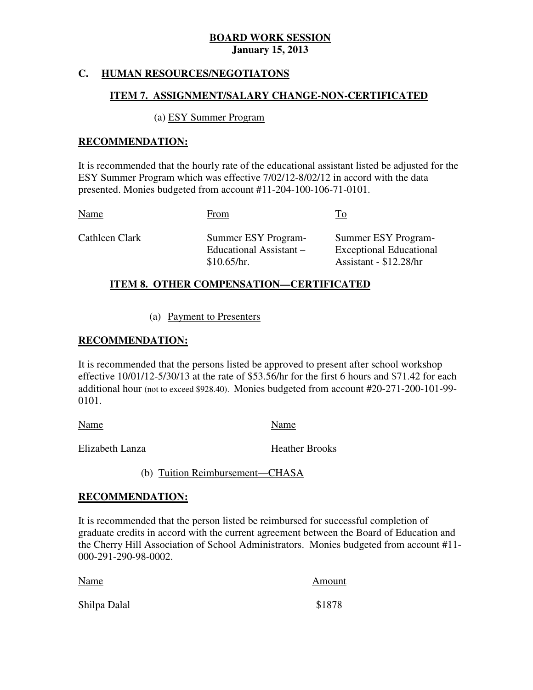### **C. HUMAN RESOURCES/NEGOTIATONS**

#### **ITEM 7. ASSIGNMENT/SALARY CHANGE-NON-CERTIFICATED**

#### (a) ESY Summer Program

#### **RECOMMENDATION:**

 It is recommended that the hourly rate of the educational assistant listed be adjusted for the ESY Summer Program which was effective 7/02/12-8/02/12 in accord with the data presented. Monies budgeted from account #11-204-100-106-71-0101.

Cathleen Clark Educational Assistant – Summer ESY Program- Exceptional Educational Assistant - \$12.28/hr Name To From To Summer ESY Program-\$10.65/hr.

#### **ITEM 8. OTHER COMPENSATION—CERTIFICATED**

(a) Payment to Presenters

#### **RECOMMENDATION:**

 It is recommended that the persons listed be approved to present after school workshop effective 10/01/12-5/30/13 at the rate of \$53.56/hr for the first 6 hours and \$71.42 for each additional hour (not to exceed \$928.40). Monies budgeted from account #20-271-200-101-99 0101.

Name Name Name

Elizabeth Lanza **Heather Brooks** 

(b) Tuition Reimbursement—CHASA

#### **RECOMMENDATION:**

 It is recommended that the person listed be reimbursed for successful completion of graduate credits in accord with the current agreement between the Board of Education and the Cherry Hill Association of School Administrators. Monies budgeted from account #11 000-291-290-98-0002.

| Name         | Amount |
|--------------|--------|
| Shilpa Dalal | \$1878 |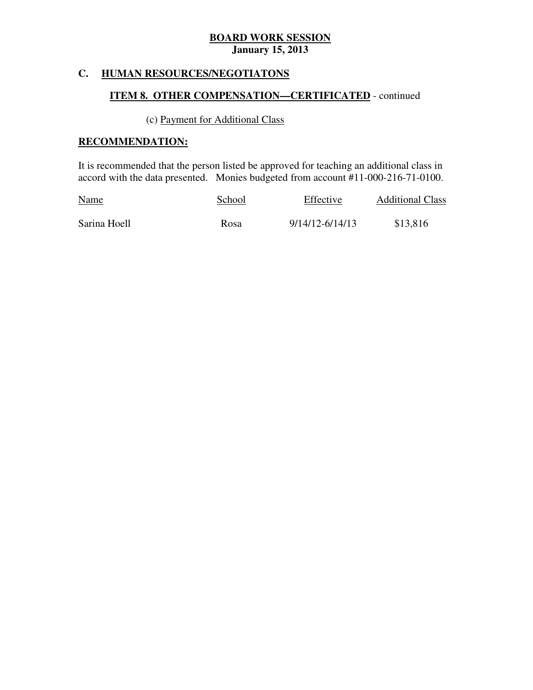#### **HUMAN RESOURCES/NEGOTIATONS**

### **ITEM 8. OTHER COMPENSATION—CERTIFICATED** - continued

#### (c) Payment for Additional Class

#### **RECOMMENDATION:**

 It is recommended that the person listed be approved for teaching an additional class in accord with the data presented. Monies budgeted from account #11-000-216-71-0100.

| <b>Name</b>  | School | Effective       | <b>Additional Class</b> |
|--------------|--------|-----------------|-------------------------|
| Sarina Hoell | Rosa   | 9/14/12-6/14/13 | \$13,816                |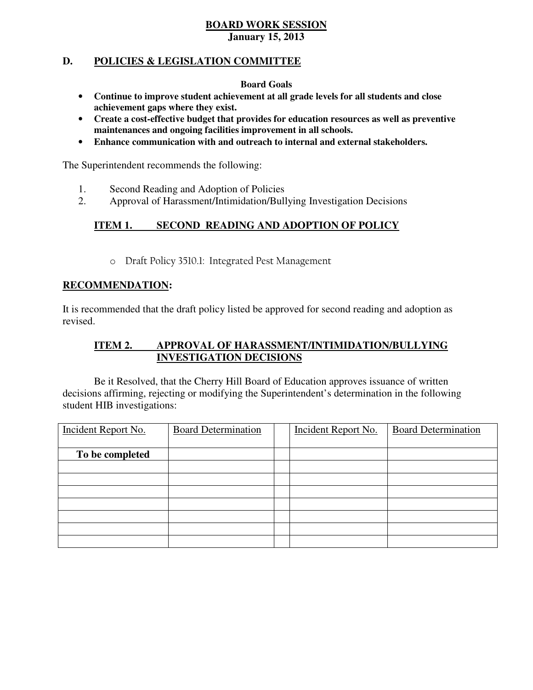#### **D. POLICIES & LEGISLATION COMMITTEE**

#### **Board Goals**

- • **Continue to improve student achievement at all grade levels for all students and close achievement gaps where they exist.**
- • **Create a cost-effective budget that provides for education resources as well as preventive maintenances and ongoing facilities improvement in all schools.**
- • **Enhance communication with and outreach to internal and external stakeholders.**

The Superintendent recommends the following:

- 1. Second Reading and Adoption of Policies
- 2. Approval of Harassment/Intimidation/Bullying Investigation Decisions

#### **ITEM 1. ISECOND READING AND ADOPTION OF POLICY**

o Draft Policy 3510.1: Integrated Pest Management

#### **RECOMMENDATION:**

 It is recommended that the draft policy listed be approved for second reading and adoption as revised.

#### **ITEM 2. APPROVAL OF HARASSMENT/INTIMIDATION/BULLYING INVESTIGATION DECISIONS**

 decisions affirming, rejecting or modifying the Superintendent's determination in the following student HIB investigations: Be it Resolved, that the Cherry Hill Board of Education approves issuance of written

| Incident Report No. | <b>Board Determination</b> | Incident Report No. | <b>Board Determination</b> |
|---------------------|----------------------------|---------------------|----------------------------|
| To be completed     |                            |                     |                            |
|                     |                            |                     |                            |
|                     |                            |                     |                            |
|                     |                            |                     |                            |
|                     |                            |                     |                            |
|                     |                            |                     |                            |
|                     |                            |                     |                            |
|                     |                            |                     |                            |